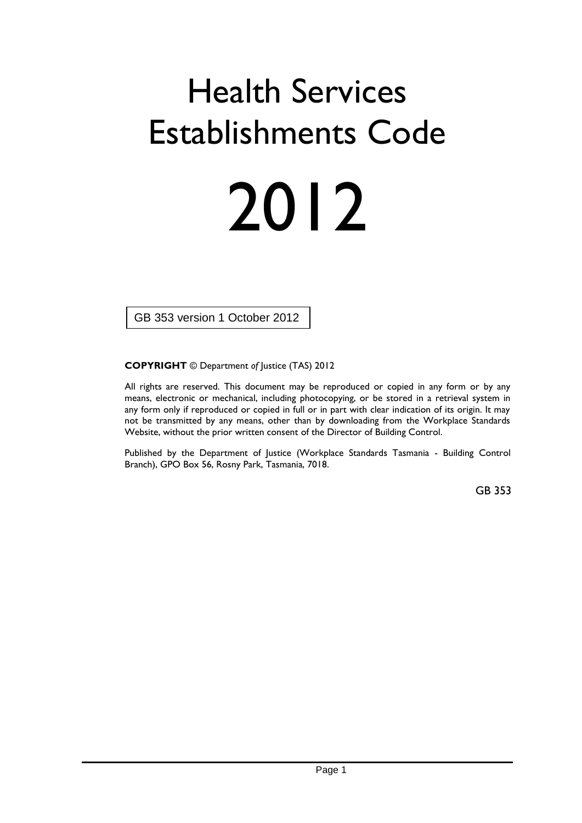# Health Services Establishments Code 2012

GB 353 version 1 October 2012

**COPYRIGHT** © Department *of* Justice (TAS) 2012

All rights are reserved. This document may be reproduced or copied in any form or by any means, electronic or mechanical, including photocopying, or be stored in a retrieval system in any form only if reproduced or copied in full or in part with clear indication of its origin. It may not be transmitted by any means, other than by downloading from the Workplace Standards Website, without the prior written consent of the Director of Building Control.

Published by the Department of Justice (Workplace Standards Tasmania - Building Control Branch), GPO Box 56, Rosny Park, Tasmania, 7018.

GB 353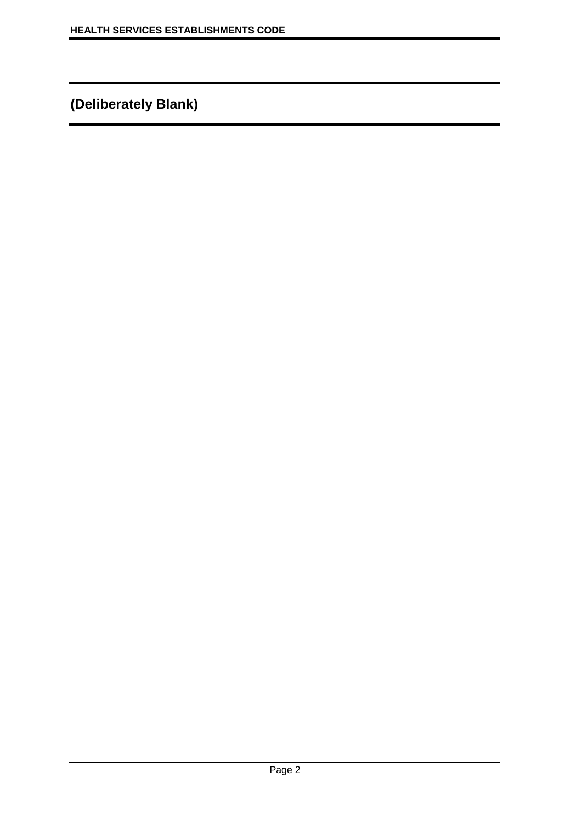# **(Deliberately Blank)**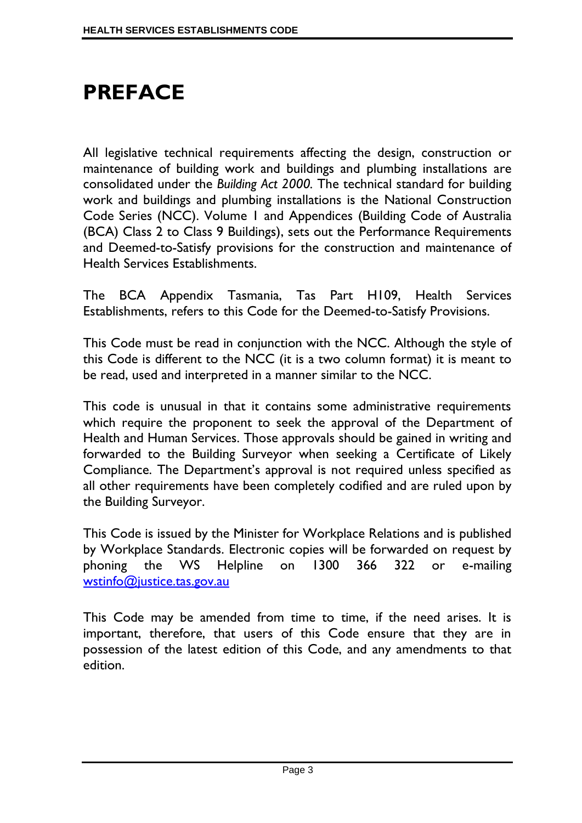# **PREFACE**

All legislative technical requirements affecting the design, construction or maintenance of building work and buildings and plumbing installations are consolidated under the *Building Act 2000.* The technical standard for building work and buildings and plumbing installations is the National Construction Code Series (NCC). Volume 1 and Appendices (Building Code of Australia (BCA) Class 2 to Class 9 Buildings), sets out the Performance Requirements and Deemed-to-Satisfy provisions for the construction and maintenance of Health Services Establishments.

The BCA Appendix Tasmania, Tas Part H109, Health Services Establishments, refers to this Code for the Deemed-to-Satisfy Provisions.

This Code must be read in conjunction with the NCC. Although the style of this Code is different to the NCC (it is a two column format) it is meant to be read, used and interpreted in a manner similar to the NCC.

This code is unusual in that it contains some administrative requirements which require the proponent to seek the approval of the Department of Health and Human Services. Those approvals should be gained in writing and forwarded to the Building Surveyor when seeking a Certificate of Likely Compliance. The Department's approval is not required unless specified as all other requirements have been completely codified and are ruled upon by the Building Surveyor.

This Code is issued by the Minister for Workplace Relations and is published by Workplace Standards. Electronic copies will be forwarded on request by phoning the WS Helpline on 1300 366 322 or e-mailing [wstinfo@justice.tas.gov.au](mailto:wstinfo@justice.tas.gov.au)

This Code may be amended from time to time, if the need arises. It is important, therefore, that users of this Code ensure that they are in possession of the latest edition of this Code, and any amendments to that edition.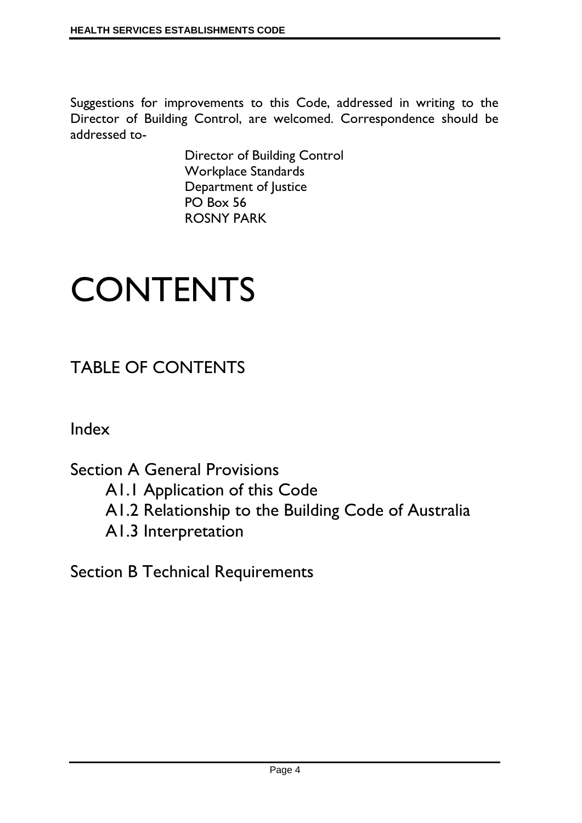Suggestions for improvements to this Code, addressed in writing to the Director of Building Control, are welcomed. Correspondence should be addressed to-

> Director of Building Control Workplace Standards Department of Justice PO Box 56 ROSNY PARK

# **CONTENTS**

TABLE OF CONTENTS

Index

Section A General Provisions

- A1.1 Application of this Code
- A1.2 Relationship to the Building Code of Australia
- A1.3 Interpretation

Section B Technical Requirements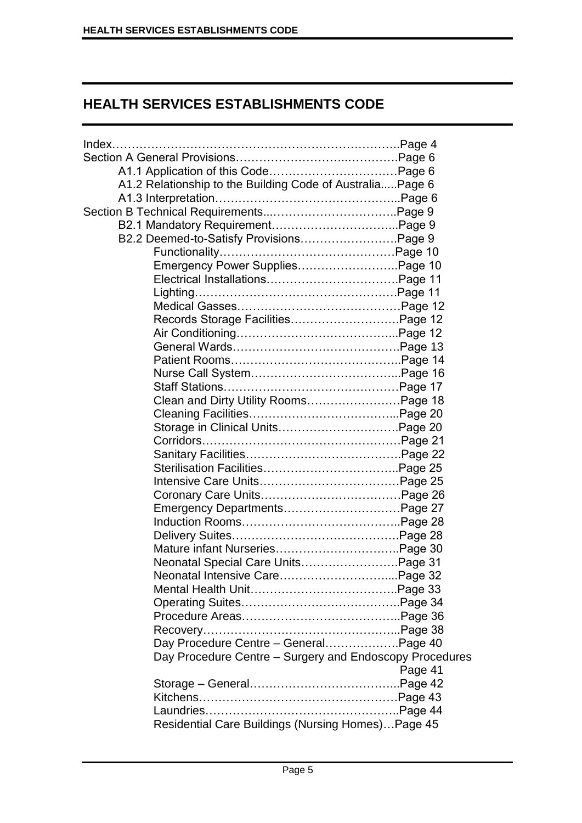# **HEALTH SERVICES ESTABLISHMENTS CODE**

| A1.2 Relationship to the Building Code of Australia Page 6                                                                                                                                                                                                |         |
|-----------------------------------------------------------------------------------------------------------------------------------------------------------------------------------------------------------------------------------------------------------|---------|
|                                                                                                                                                                                                                                                           |         |
|                                                                                                                                                                                                                                                           |         |
|                                                                                                                                                                                                                                                           |         |
|                                                                                                                                                                                                                                                           |         |
|                                                                                                                                                                                                                                                           |         |
|                                                                                                                                                                                                                                                           |         |
|                                                                                                                                                                                                                                                           |         |
|                                                                                                                                                                                                                                                           |         |
|                                                                                                                                                                                                                                                           |         |
|                                                                                                                                                                                                                                                           |         |
|                                                                                                                                                                                                                                                           |         |
|                                                                                                                                                                                                                                                           |         |
|                                                                                                                                                                                                                                                           |         |
|                                                                                                                                                                                                                                                           |         |
|                                                                                                                                                                                                                                                           |         |
|                                                                                                                                                                                                                                                           |         |
|                                                                                                                                                                                                                                                           |         |
|                                                                                                                                                                                                                                                           |         |
|                                                                                                                                                                                                                                                           |         |
|                                                                                                                                                                                                                                                           |         |
|                                                                                                                                                                                                                                                           |         |
|                                                                                                                                                                                                                                                           |         |
|                                                                                                                                                                                                                                                           |         |
|                                                                                                                                                                                                                                                           |         |
|                                                                                                                                                                                                                                                           |         |
|                                                                                                                                                                                                                                                           |         |
|                                                                                                                                                                                                                                                           |         |
|                                                                                                                                                                                                                                                           |         |
|                                                                                                                                                                                                                                                           |         |
|                                                                                                                                                                                                                                                           |         |
|                                                                                                                                                                                                                                                           |         |
|                                                                                                                                                                                                                                                           |         |
|                                                                                                                                                                                                                                                           |         |
| Day Procedure Centre - GeneralPage 40                                                                                                                                                                                                                     |         |
|                                                                                                                                                                                                                                                           |         |
|                                                                                                                                                                                                                                                           | Page 41 |
|                                                                                                                                                                                                                                                           |         |
|                                                                                                                                                                                                                                                           |         |
|                                                                                                                                                                                                                                                           |         |
| Residential Care Buildings (Nursing Homes)Page 45                                                                                                                                                                                                         |         |
| B2.2 Deemed-to-Satisfy Provisions Page 9<br>Emergency Power SuppliesPage 10<br>Records Storage FacilitiesPage 12<br>Clean and Dirty Utility RoomsPage 18<br>Neonatal Special Care UnitsPage 31<br>Day Procedure Centre - Surgery and Endoscopy Procedures |         |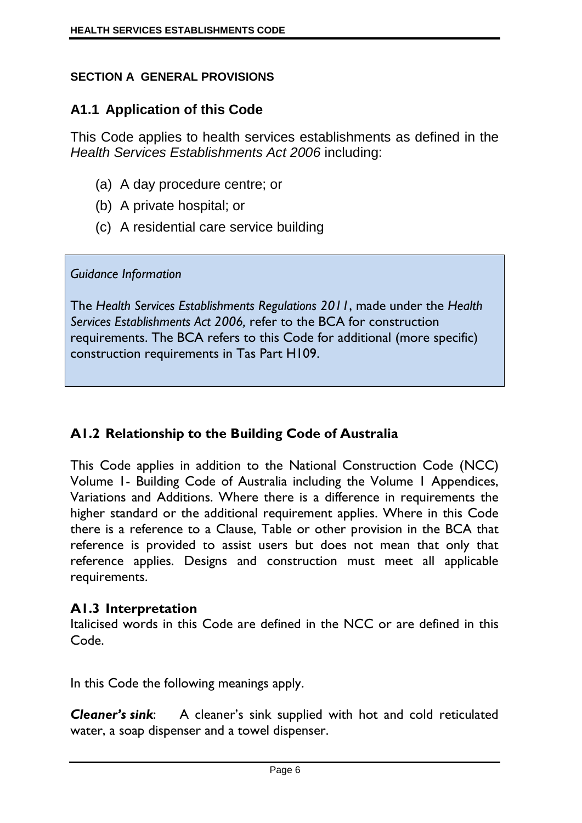# **SECTION A GENERAL PROVISIONS**

# **A1.1 Application of this Code**

This Code applies to health services establishments as defined in the *Health Services Establishments Act 2006* including:

- (a) A day procedure centre; or
- (b) A private hospital; or
- (c) A residential care service building

*Guidance Information*

The *Health Services Establishments Regulations 2011*, made under the *Health Services Establishments Act 2006,* refer to the BCA for construction requirements. The BCA refers to this Code for additional (more specific) construction requirements in Tas Part H109.

# **A1.2 Relationship to the Building Code of Australia**

This Code applies in addition to the National Construction Code (NCC) Volume 1- Building Code of Australia including the Volume 1 Appendices, Variations and Additions. Where there is a difference in requirements the higher standard or the additional requirement applies. Where in this Code there is a reference to a Clause, Table or other provision in the BCA that reference is provided to assist users but does not mean that only that reference applies. Designs and construction must meet all applicable requirements.

# **A1.3 Interpretation**

Italicised words in this Code are defined in the NCC or are defined in this Code.

In this Code the following meanings apply.

*Cleaner's sink*: A cleaner's sink supplied with hot and cold reticulated water, a soap dispenser and a towel dispenser.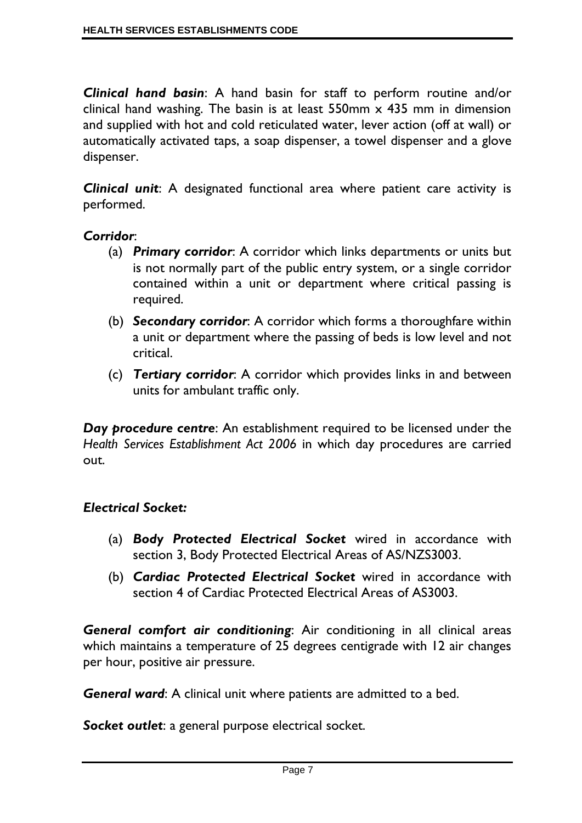*Clinical hand basin*: A hand basin for staff to perform routine and/or clinical hand washing. The basin is at least 550mm  $\times$  435 mm in dimension and supplied with hot and cold reticulated water, lever action (off at wall) or automatically activated taps, a soap dispenser, a towel dispenser and a glove dispenser.

*Clinical unit*: A designated functional area where patient care activity is performed.

# *Corridor*:

- (a) *Primary corridor*: A corridor which links departments or units but is not normally part of the public entry system, or a single corridor contained within a unit or department where critical passing is required.
- (b) *Secondary corridor*: A corridor which forms a thoroughfare within a unit or department where the passing of beds is low level and not critical.
- (c) *Tertiary corridor*: A corridor which provides links in and between units for ambulant traffic only.

*Day procedure centre*: An establishment required to be licensed under the *Health Services Establishment Act 2006* in which day procedures are carried out.

# *Electrical Socket:*

- (a) *Body Protected Electrical Socket* wired in accordance with section 3, Body Protected Electrical Areas of AS/NZS3003.
- (b) *Cardiac Protected Electrical Socket* wired in accordance with section 4 of Cardiac Protected Electrical Areas of AS3003.

*General comfort air conditioning*: Air conditioning in all clinical areas which maintains a temperature of 25 degrees centigrade with 12 air changes per hour, positive air pressure.

*General ward*: A clinical unit where patients are admitted to a bed.

*Socket outlet*: a general purpose electrical socket.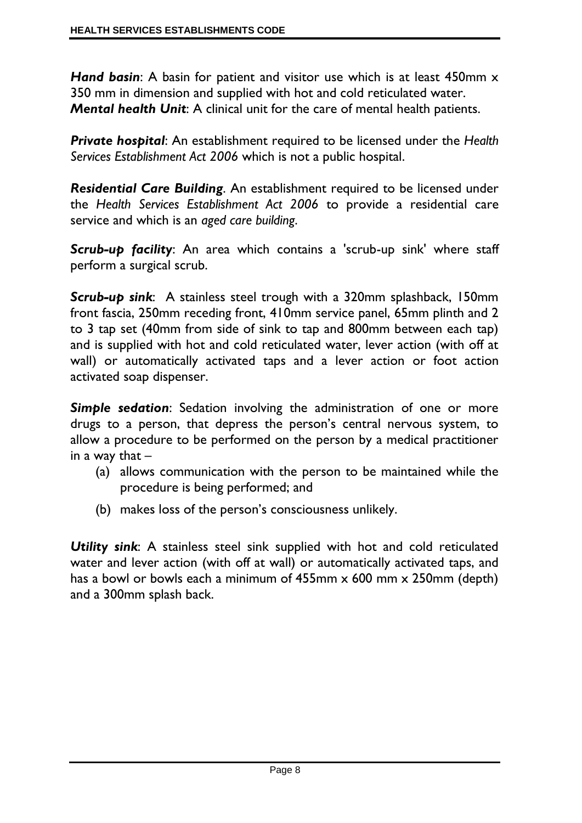*Hand basin*: A basin for patient and visitor use which is at least 450mm x 350 mm in dimension and supplied with hot and cold reticulated water. *Mental health Unit*: A clinical unit for the care of mental health patients.

*Private hospital*: An establishment required to be licensed under the *Health Services Establishment Act 2006* which is not a public hospital.

*Residential Care Building*. An establishment required to be licensed under the *Health Services Establishment Act 2006* to provide a residential care service and which is an *aged care building*.

*Scrub-up facility*: An area which contains a 'scrub-up sink' where staff perform a surgical scrub.

*Scrub-up sink*: A stainless steel trough with a 320mm splashback, 150mm front fascia, 250mm receding front, 410mm service panel, 65mm plinth and 2 to 3 tap set (40mm from side of sink to tap and 800mm between each tap) and is supplied with hot and cold reticulated water, lever action (with off at wall) or automatically activated taps and a lever action or foot action activated soap dispenser.

*Simple sedation*: Sedation involving the administration of one or more drugs to a person, that depress the person's central nervous system, to allow a procedure to be performed on the person by a medical practitioner in a way that  $-$ 

- (a) allows communication with the person to be maintained while the procedure is being performed; and
- (b) makes loss of the person's consciousness unlikely.

*Utility sink*: A stainless steel sink supplied with hot and cold reticulated water and lever action (with off at wall) or automatically activated taps, and has a bowl or bowls each a minimum of 455mm x 600 mm x 250mm (depth) and a 300mm splash back.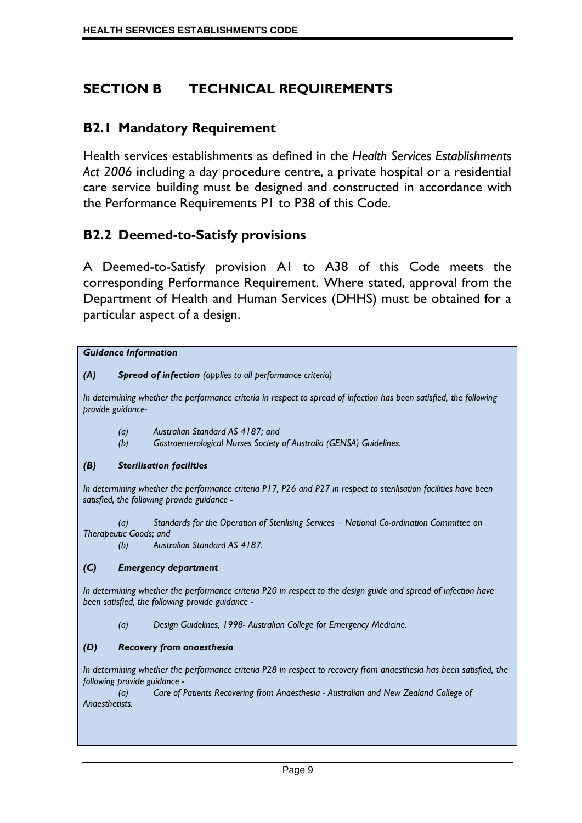# **SECTION B TECHNICAL REQUIREMENTS**

# **B2.1 Mandatory Requirement**

Health services establishments as defined in the *Health Services Establishments Act 2006* including a day procedure centre, a private hospital or a residential care service building must be designed and constructed in accordance with the Performance Requirements P1 to P38 of this Code.

# **B2.2 Deemed-to-Satisfy provisions**

A Deemed-to-Satisfy provision A1 to A38 of this Code meets the corresponding Performance Requirement. Where stated, approval from the Department of Health and Human Services (DHHS) must be obtained for a particular aspect of a design.

#### *Guidance Information*

*(A) Spread of infection (applies to all performance criteria)*

*In determining whether the performance criteria in respect to spread of infection has been satisfied, the following provide guidance-*

- *(a) Australian Standard AS 4187; and*
- *(b) Gastroenterological Nurses Society of Australia (GENSA) Guidelines.*

#### *(B) Sterilisation facilities*

*In determining whether the performance criteria P17, P26 and P27 in respect to sterilisation facilities have been satisfied, the following provide guidance -*

*(a) Standards for the Operation of Sterilising Services – National Co-ordination Committee on Therapeutic Goods; and*

*(b) Australian Standard AS 4187.*

#### *(C) Emergency department*

*In determining whether the performance criteria P20 in respect to the design guide and spread of infection have been satisfied, the following provide guidance -*

*(a) Design Guidelines, 1998- Australian College for Emergency Medicine.*

#### *(D) Recovery from anaesthesia*

*In determining whether the performance criteria P28 in respect to recovery from anaesthesia has been satisfied, the following provide guidance -*

*(a) Care of Patients Recovering from Anaesthesia - Australian and New Zealand College of Anaesthetists.*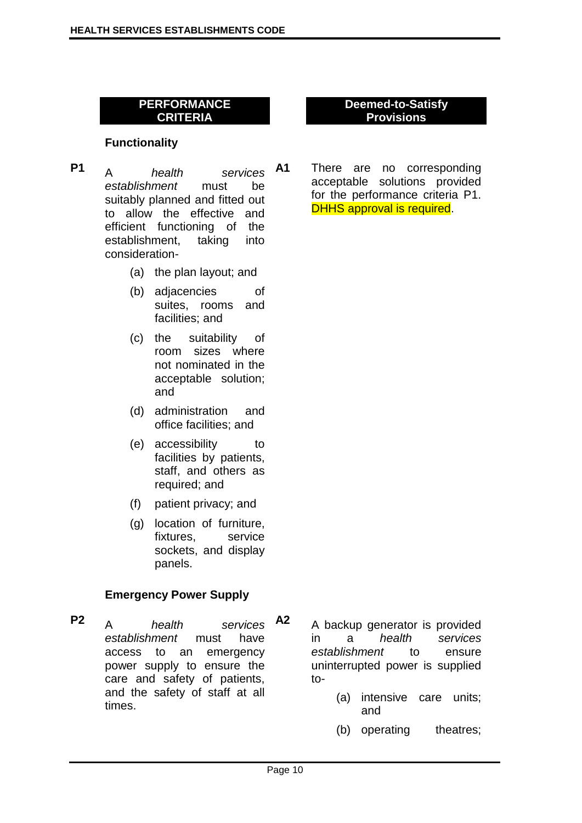#### **Functionality**

- **P1** A *health services establishment* must be suitably planned and fitted out to allow the effective and efficient functioning of the establishment, taking into consideration-
	- (a) the plan layout; and
	- (b) adjacencies of suites, rooms and facilities; and
	- (c) the suitability of room sizes where not nominated in the acceptable solution; and
	- (d) administration and office facilities; and
	- (e) accessibility to facilities by patients, staff, and others as required; and
	- (f) patient privacy; and
	- (g) location of furniture, fixtures, service sockets, and display panels.

#### **Emergency Power Supply**

**P2** A *health services establishment* must have access to an emergency power supply to ensure the care and safety of patients, and the safety of staff at all times.

#### **A1** There are no corresponding acceptable solutions provided for the performance criteria P1. DHHS approval is required.

- **A2** A backup generator is provided in a *health services establishment* to ensure uninterrupted power is supplied to-
	- (a) intensive care units; and
	- (b) operating theatres;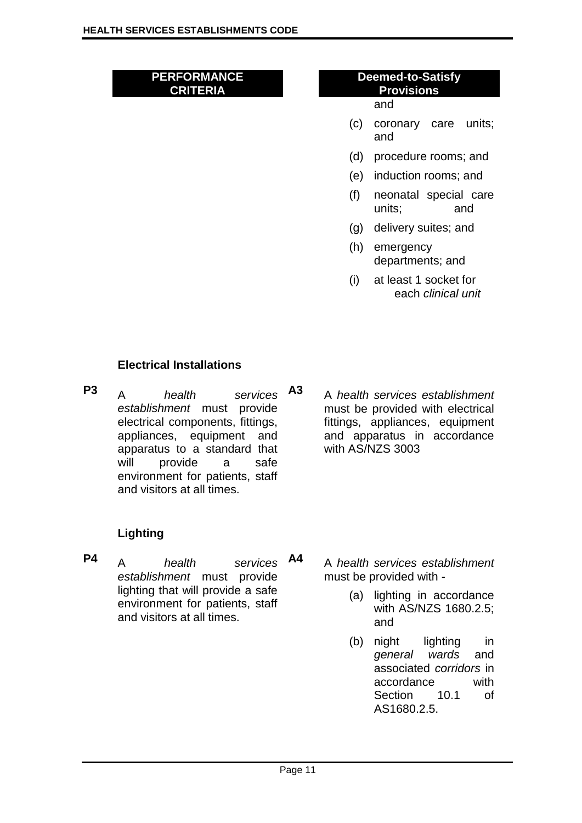#### **Deemed-to-Satisfy Provisions**

#### and

- (c) coronary care units; and
- (d) procedure rooms; and
- (e) induction rooms; and
- (f) neonatal special care units; and
- (g) delivery suites; and
- (h) emergency departments; and
- (i) at least 1 socket for each *clinical unit*

#### **Electrical Installations**

- **P3** A *health services establishment* must provide electrical components, fittings, appliances, equipment and apparatus to a standard that will provide a safe environment for patients, staff and visitors at all times.
- **A3** A *health services establishment* must be provided with electrical fittings, appliances, equipment and apparatus in accordance with AS/NZS 3003

#### **Lighting**

- **P4** A *health services establishment* must provide lighting that will provide a safe environment for patients, staff and visitors at all times.
- **A4** A *health services establishment* must be provided with -
	- (a) lighting in accordance with AS/NZS 1680.2.5; and
	- (b) night lighting in *general wards* and associated *corridors* in accordance with Section 10.1 of AS1680.2.5.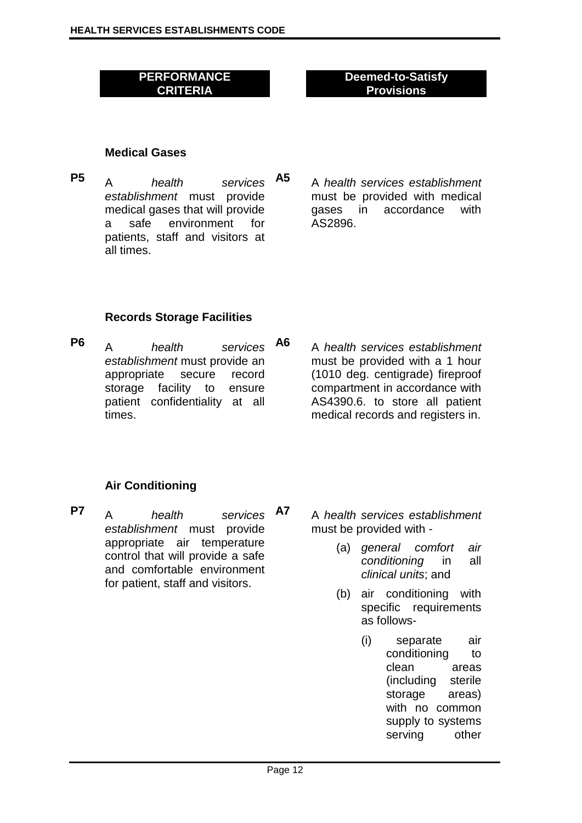#### **Deemed-to-Satisfy Provisions**

#### **Medical Gases**

**P5** A *health services establishment* must provide medical gases that will provide a safe environment for patients, staff and visitors at all times.

**A5** A *health services establishment* must be provided with medical gases in accordance with AS2896.

#### **Records Storage Facilities**

**P6** A *health services establishment* must provide an appropriate secure record storage facility to ensure patient confidentiality at all times. **A6** A *health services establishment* must be provided with a 1 hour (1010 deg. centigrade) fireproof compartment in accordance with AS4390.6. to store all patient medical records and registers in.

#### **Air Conditioning**

**P7** A *health services establishment* must provide appropriate air temperature control that will provide a safe and comfortable environment for patient, staff and visitors.

**A7** A *health services establishment* must be provided with -

- (a) *general comfort air conditioning* in all *clinical units*; and
- (b) air conditioning with specific requirements as follows-
	- (i) separate air conditioning to clean areas (including sterile storage areas) with no common supply to systems serving other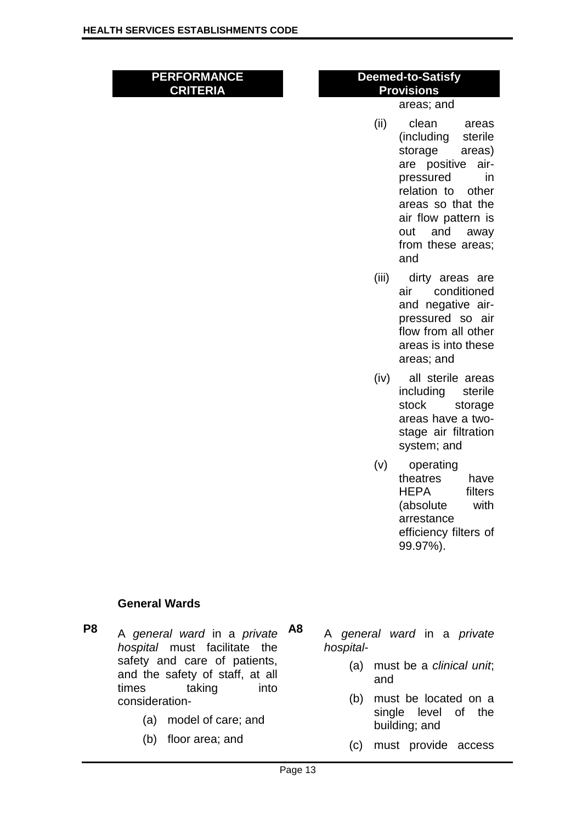#### **Deemed-to-Satisfy Provisions**

areas; and

- (ii) clean areas (including sterile storage areas) are positive airpressured in relation to other areas so that the air flow pattern is out and away from these areas; and
- (iii) dirty areas are air conditioned and negative airpressured so air flow from all other areas is into these areas; and
- (iv) all sterile areas including sterile stock storage areas have a twostage air filtration system; and
- (v) operating theatres have HEPA filters (absolute with arrestance efficiency filters of 99.97%).

# **General Wards**

- **P8** A *general ward* in a *private hospital* must facilitate the safety and care of patients, and the safety of staff, at all times taking into consideration-
	- (a) model of care; and
	- (b) floor area; and
- **A8** A *general ward* in a *private hospital*-
	- (a) must be a *clinical unit*; and
	- (b) must be located on a single level of the building; and
	- (c) must provide access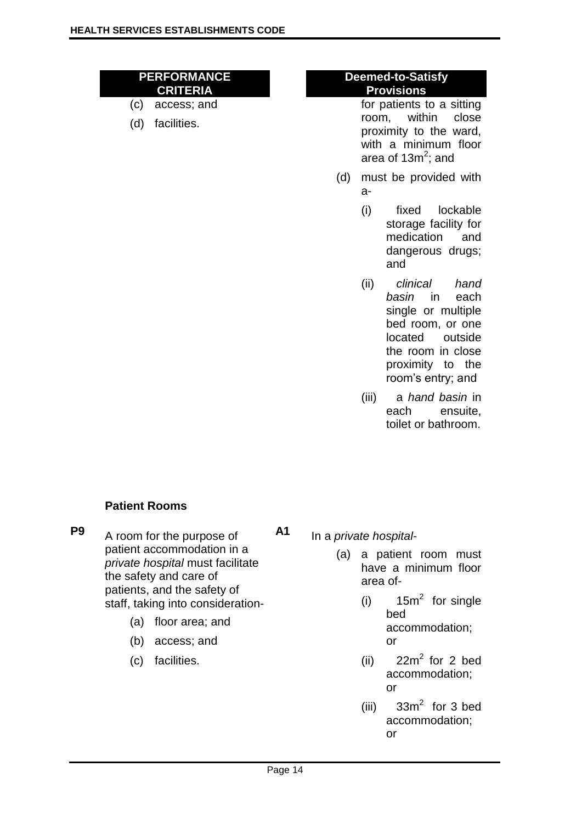- (c) access; and
- (d) facilities.

#### **Deemed-to-Satisfy Provisions**

for patients to a sitting room, within close proximity to the ward, with a minimum floor area of  $13m^2$ ; and

- (d) must be provided with a-
	- (i) fixed lockable storage facility for medication and dangerous drugs; and
	- (ii) *clinical hand basin* in each single or multiple bed room, or one located outside the room in close proximity to the room's entry; and
	- (iii) a *hand basin* in each ensuite, toilet or bathroom.

#### **Patient Rooms**

- **P9** A room for the purpose of patient accommodation in a *private hospital* must facilitate the safety and care of patients, and the safety of staff, taking into consideration-
	- (a) floor area; and
	- (b) access; and
	- (c) facilities.

**A1** In a *private hospital*-

- (a) a patient room must have a minimum floor area of-
	- $(i)$  15m<sup>2</sup> for single bed accommodation; or
	- (ii)  $22m^2$  for 2 bed accommodation; or
	- (iii)  $33m^2$  for 3 bed accommodation; or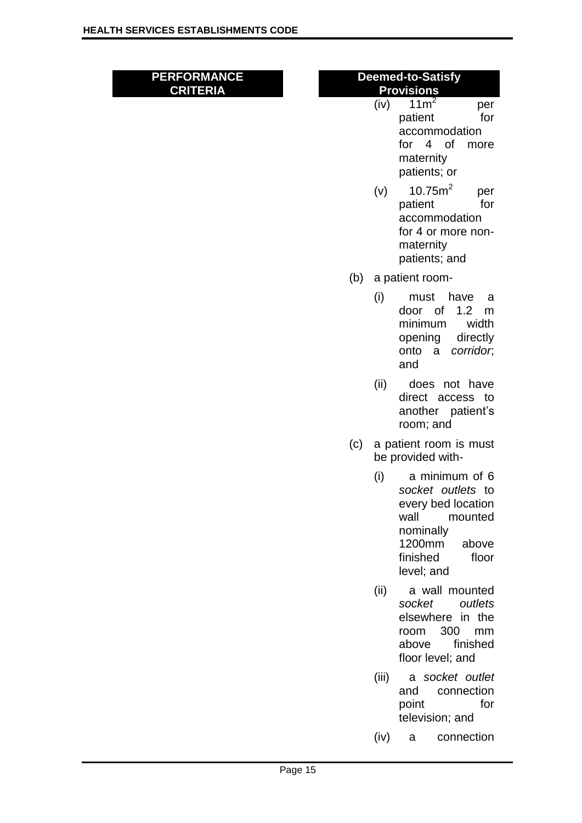- $(iv)$  11 $m<sup>2</sup>$ per patient for accommodation for 4 of more maternity patients; or
- (v)  $10.75m^2$ per patient for accommodation for 4 or more nonmaternity patients; and
- (b) a patient room-
	- (i) must have a door of 1.2 m minimum width opening directly onto a *corridor*; and
	- (ii) does not have direct access to another patient's room; and
- (c) a patient room is must be provided with-
	- (i) a minimum of 6 *socket outlets* to every bed location wall mounted nominally 1200mm above finished floor level; and
	- (ii) a wall mounted *socket outlets* elsewhere in the room 300 mm above finished floor level; and
	- (iii) a *socket outlet* and connection point for television; and
	- (iv) a connection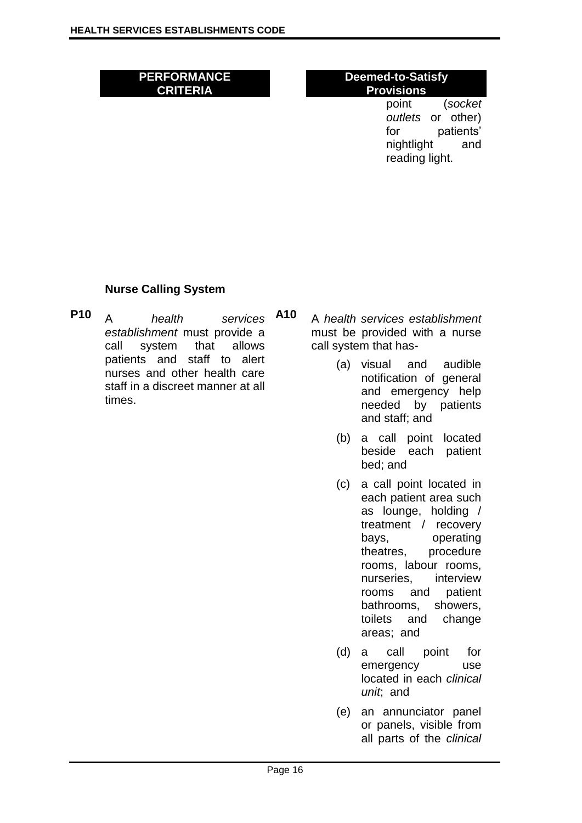#### **Deemed-to-Satisfy Provisions**

point (*socket outlets* or other) for patients' nightlight and reading light.

# **Nurse Calling System**

**P10** A *health services establishment* must provide a call system that allows patients and staff to alert nurses and other health care staff in a discreet manner at all times.

**A10** A *health services establishment* must be provided with a nurse call system that has-

- (a) visual and audible notification of general and emergency help needed by patients and staff; and
- (b) a call point located beside each patient bed; and
- (c) a call point located in each patient area such as lounge, holding / treatment / recovery bays, operating theatres, procedure rooms, labour rooms, nurseries, interview rooms and patient bathrooms, showers, toilets and change areas; and
- (d) a call point for emergency use located in each *clinical unit*; and
- (e) an annunciator panel or panels, visible from all parts of the *clinical*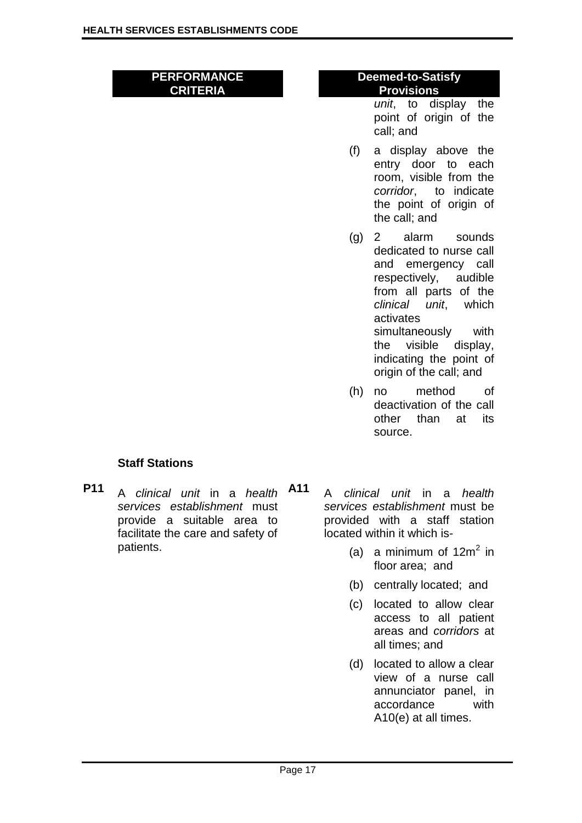#### **Deemed-to-Satisfy Provisions**

*unit*, to display the point of origin of the call; and

- (f) a display above the entry door to each room, visible from the *corridor*, to indicate the point of origin of the call; and
- (g) 2 alarm sounds dedicated to nurse call and emergency call respectively, audible from all parts of the *clinical unit*, which activates simultaneously with the visible display, indicating the point of origin of the call; and
- (h) no method of deactivation of the call other than at its source.

# **Staff Stations**

- **P11** A *clinical unit* in a *health services establishment* must provide a suitable area to facilitate the care and safety of patients.
- **A11** A *clinical unit* in a *health services establishment* must be provided with a staff station located within it which is-
	- (a) a minimum of  $12m^2$  in floor area; and
	- (b) centrally located; and
	- (c) located to allow clear access to all patient areas and *corridors* at all times; and
	- (d) located to allow a clear view of a nurse call annunciator panel, in accordance with A10(e) at all times.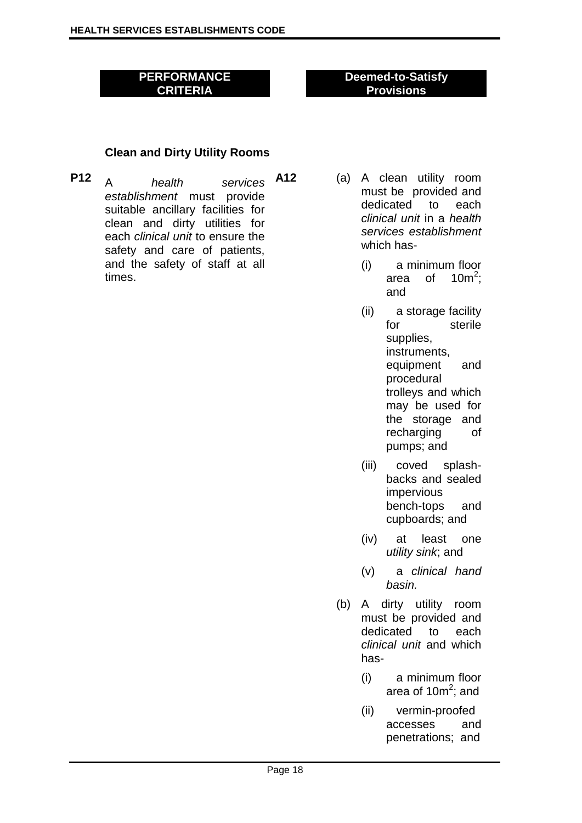#### **Clean and Dirty Utility Rooms**

**P12** A *health services establishment* must provide suitable ancillary facilities for clean and dirty utilities for each *clinical unit* to ensure the safety and care of patients, and the safety of staff at all times.

- **A12** (a) A clean utility room must be provided and dedicated to each *clinical unit* in a *health services establishment* which has-
	- (i) a minimum floor area of  $10m^2$ : and
	- (ii) a storage facility for sterile supplies, instruments, equipment and procedural trolleys and which may be used for the storage and recharging of pumps; and
	- (iii) coved splashbacks and sealed impervious bench-tops and cupboards; and
	- (iv) at least one *utility sink*; and
	- (v) a *clinical hand basin.*
	- (b) A dirty utility room must be provided and dedicated to each *clinical unit* and which has-
		- (i) a minimum floor area of 10m<sup>2</sup>; and
		- (ii) vermin-proofed accesses and penetrations; and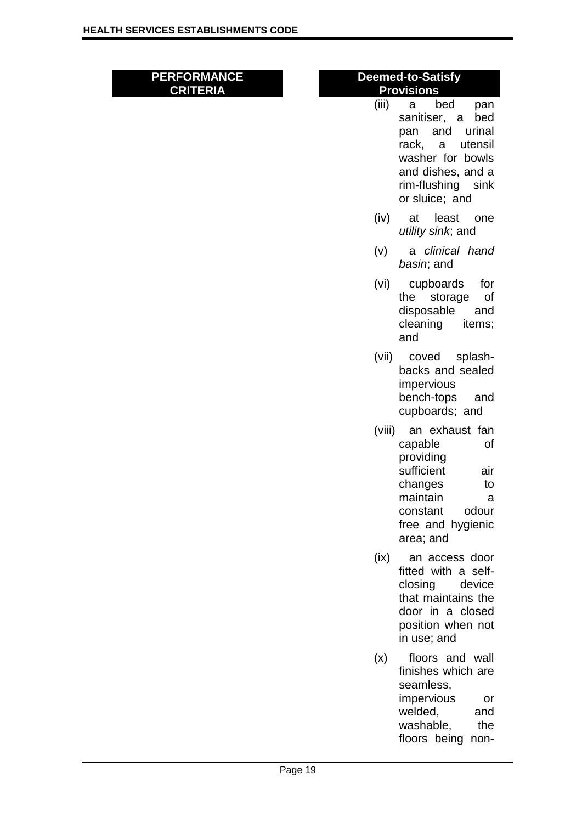- (iii) a bed pan sanitiser, a bed pan and urinal rack, a utensil washer for bowls and dishes, and a rim-flushing sink or sluice; and
- (iv) at least one *utility sink*; and
- (v) a *clinical hand basin*; and
- (vi) cupboards for the storage of disposable and cleaning items; and
- (vii) coved splashbacks and sealed impervious bench-tops and cupboards; and
- (viii) an exhaust fan capable of providing sufficient air changes to maintain a constant odour free and hygienic area; and
- (ix) an access door fitted with a selfclosing device that maintains the door in a closed position when not in use; and
- (x) floors and wall finishes which are seamless, impervious or welded, and washable, the floors being non-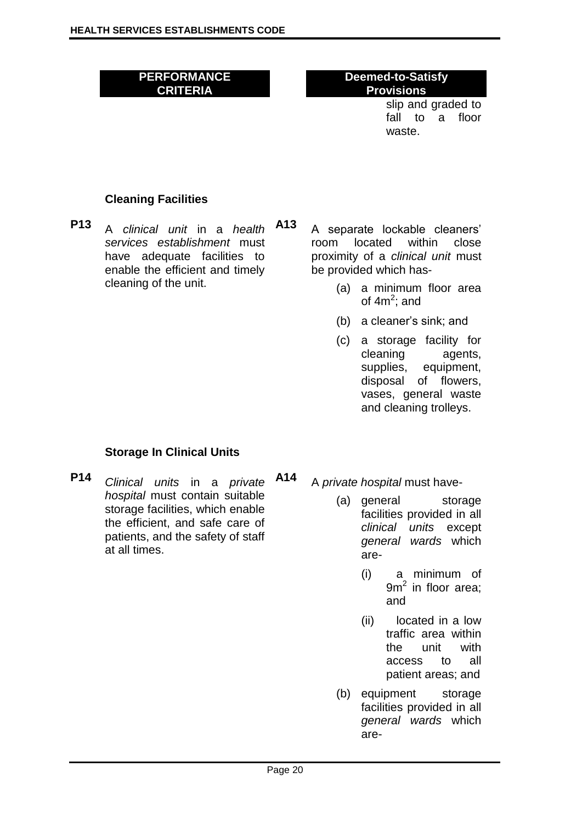#### **Deemed-to-Satisfy Provisions**

slip and graded to fall to a floor waste.

# **Cleaning Facilities**

**P13** A *clinical unit* in a *health services establishment* must have adequate facilities to enable the efficient and timely cleaning of the unit.

**A13** A separate lockable cleaners' room located within close proximity of a *clinical unit* must be provided which has-

- (a) a minimum floor area of  $4m^2$ ; and
- (b) a cleaner's sink; and
- (c) a storage facility for cleaning agents, supplies, equipment, disposal of flowers, vases, general waste and cleaning trolleys.

#### **Storage In Clinical Units**

**P14** *Clinical units* in a *private hospital* must contain suitable storage facilities, which enable the efficient, and safe care of patients, and the safety of staff at all times.

**A14** A *private hospital* must have-

- (a) general storage facilities provided in all *clinical units* except *general wards* which are-
	- (i) a minimum of 9m<sup>2</sup> in floor area; and
	- (ii) located in a low traffic area within the unit with access to all patient areas; and
- (b) equipment storage facilities provided in all *general wards* which are-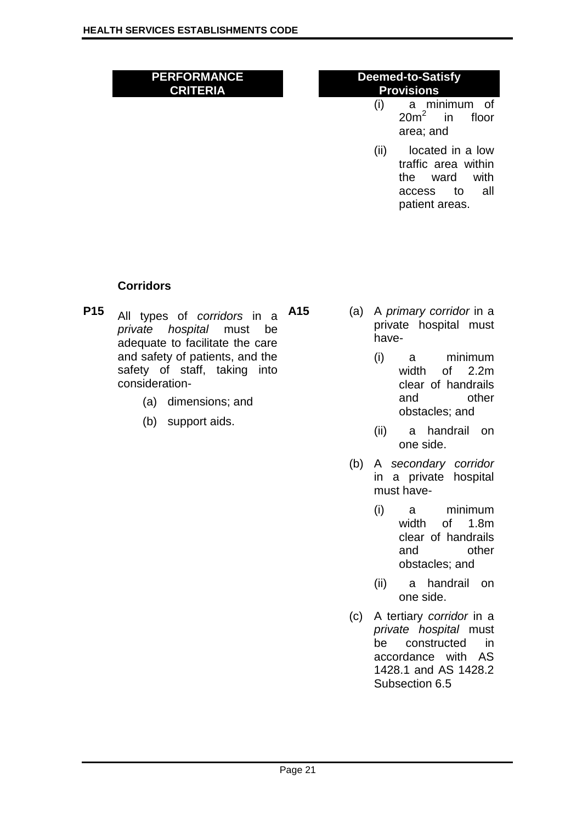#### **Deemed-to-Satisfy Provisions**

- (i) a minimum of  $20m^2$  in floor area; and
- (ii) located in a low traffic area within<br>the ward with the ward access to all patient areas.

#### **Corridors**

- **P15** All types of *corridors* in a *private hospital* must be adequate to facilitate the care and safety of patients, and the safety of staff, taking into consideration-
	- (a) dimensions; and
	- (b) support aids.
- **A15** (a) A *primary corridor* in a private hospital must have-
	- (i) a minimum width of 2.2m clear of handrails and other obstacles; and
	- (ii) a handrail on one side.
	- (b) A *secondary corridor* in a private hospital must have-
		- (i) a minimum width of 1.8m clear of handrails and other obstacles; and
		- (ii) a handrail on one side.
	- (c) A tertiary *corridor* in a *private hospital* must be constructed in accordance with AS 1428.1 and AS 1428.2 Subsection 6.5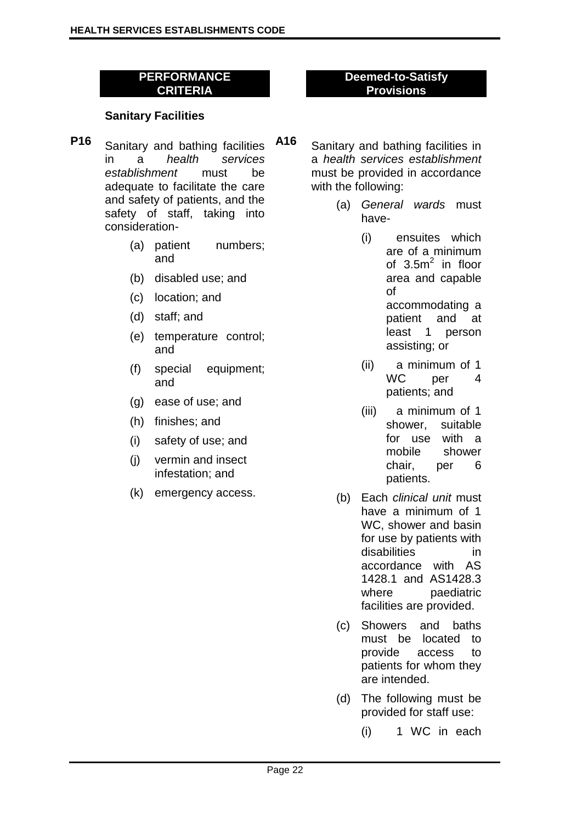#### **Sanitary Facilities**

- **P16** Sanitary and bathing facilities in a *health services establishment* must be adequate to facilitate the care and safety of patients, and the safety of staff, taking into consideration-
	- (a) patient numbers; and
	- (b) disabled use; and
	- (c) location; and
	- (d) staff; and
	- (e) temperature control; and
	- (f) special equipment; and
	- (g) ease of use; and
	- (h) finishes; and
	- (i) safety of use; and
	- (j) vermin and insect infestation; and
	- (k) emergency access.

- **A16** Sanitary and bathing facilities in a *health services establishment* must be provided in accordance with the following:
	- (a) *General wards* must have-
		- (i) ensuites which are of a minimum of  $3.5m^2$  in floor area and capable of accommodating a patient and at least 1 person assisting; or
		- (ii) a minimum of 1 WC per 4 patients; and
		- (iii) a minimum of 1 shower, suitable for use with a mobile shower chair, per 6 patients.
	- (b) Each *clinical unit* must have a minimum of 1 WC, shower and basin for use by patients with disabilities in accordance with AS 1428.1 and AS1428.3 where paediatric facilities are provided.
	- (c) Showers and baths must be located to provide access to patients for whom they are intended.
	- (d) The following must be provided for staff use:
		- (i) 1 WC in each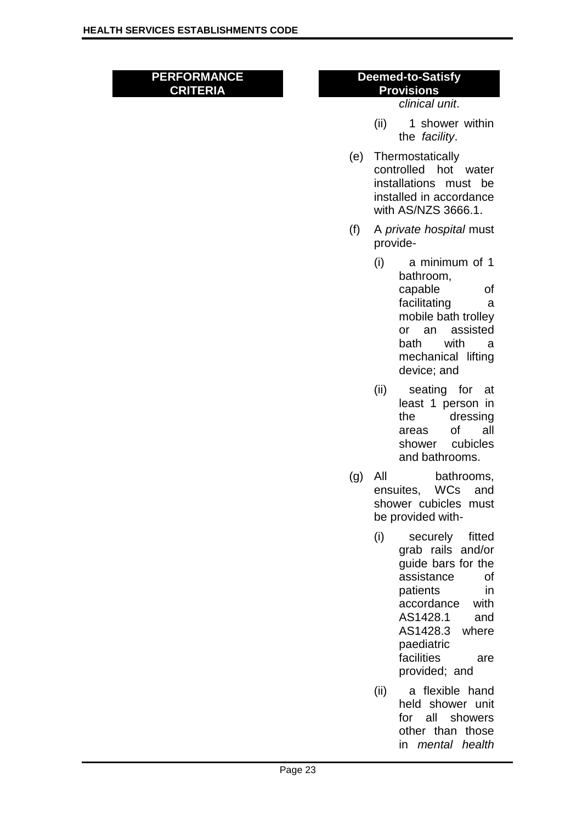#### **Deemed-to-Satisfy Provisions**

*clinical unit*.

- (ii) 1 shower within the *facility*.
- (e) Thermostatically controlled hot water installations must be installed in accordance with AS/NZS 3666.1.
- (f) A *private hospital* must provide-
	- (i) a minimum of 1 bathroom, capable of facilitating a mobile bath trolley or an assisted bath with a mechanical lifting device; and
	- (ii) seating for at least 1 person in the dressing areas of all shower and bathrooms.
- (g) All bathrooms, ensuites, WCs and shower cubicles must be provided with-
	- (i) securely fitted grab rails and/or guide bars for the assistance of patients in accordance with AS1428.1 and AS1428.3 where paediatric facilities are provided; and
	- (ii) a flexible hand held shower unit for all showers other than those in *mental health*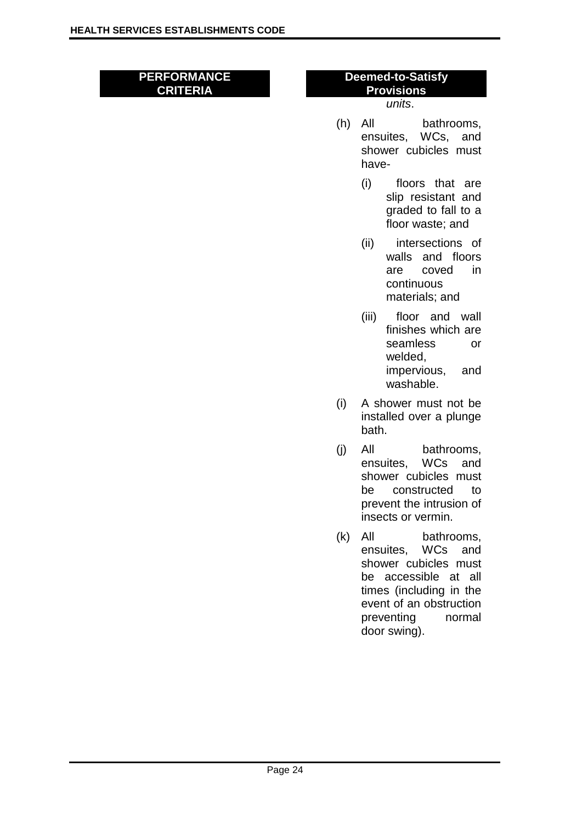#### **Deemed-to-Satisfy Provisions**

*units*.

- (h) All bathrooms, ensuites, WCs, and shower cubicles must have-
	- (i) floors that are slip resistant and graded to fall to a floor waste; and
	- (ii) intersections of walls and floors are coved in continuous materials; and
	- (iii) floor and wall finishes which are seamless or welded, impervious, and washable.
- (i) A shower must not be installed over a plunge bath.
- (j) All bathrooms, ensuites, WCs and shower cubicles must be constructed to prevent the intrusion of insects or vermin.
- (k) All bathrooms, ensuites, WCs and shower cubicles must be accessible at all times (including in the event of an obstruction preventing normal door swing).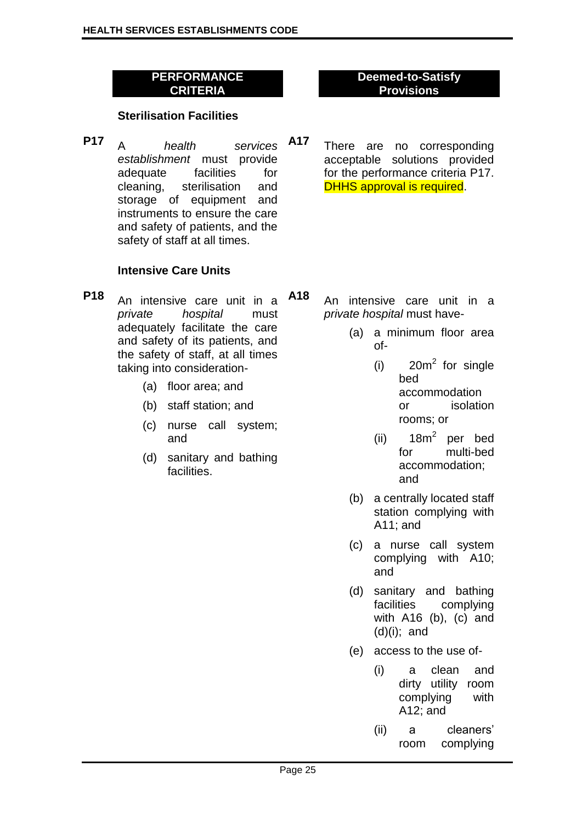#### **Sterilisation Facilities**

**P17** A *health services establishment* must provide adequate facilities for cleaning, sterilisation and storage of equipment and instruments to ensure the care and safety of patients, and the safety of staff at all times.

#### **Deemed-to-Satisfy Provisions**

**A17** There are no corresponding acceptable solutions provided for the performance criteria P17. DHHS approval is required.

# **Intensive Care Units**

- **P18** An intensive care unit in a *private hospital* must adequately facilitate the care and safety of its patients, and the safety of staff, at all times taking into consideration-
	- (a) floor area; and
	- (b) staff station; and
	- (c) nurse call system; and
	- (d) sanitary and bathing facilities.
- **A18** An intensive care unit in a *private hospital* must have-
	- (a) a minimum floor area of-
		- $(i)$  20 $m^2$  for single bed accommodation or isolation rooms; or
		- $(ii)$  18m<sup>2</sup> per bed for multi-bed accommodation; and
	- (b) a centrally located staff station complying with A11; and
	- (c) a nurse call system complying with A10; and
	- (d) sanitary and bathing facilities complying with A16 (b), (c) and  $(d)(i)$ ; and
	- (e) access to the use of-
		- (i) a clean and dirty utility room complying with A12; and
		- (ii) a cleaners' room complying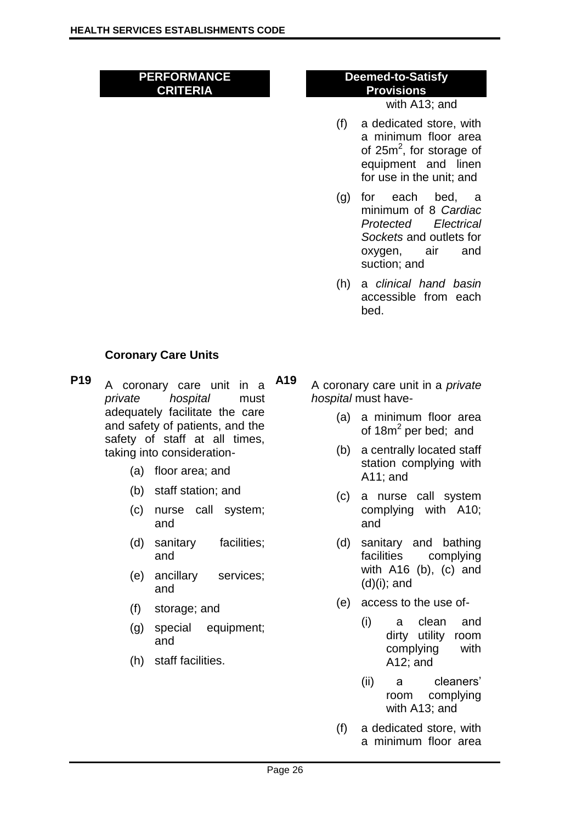#### **Deemed-to-Satisfy Provisions**

with A13; and

- (f) a dedicated store, with a minimum floor area of  $25m^2$ , for storage of equipment and linen for use in the unit; and
- (g) for each bed, a minimum of 8 *Cardiac Protected Electrical Sockets* and outlets for oxygen, air and suction; and
- (h) a *clinical hand basin* accessible from each bed.

#### **Coronary Care Units**

- **P19** A coronary care unit in a *private hospital* must adequately facilitate the care and safety of patients, and the safety of staff at all times, taking into consideration-
	- (a) floor area; and
	- (b) staff station; and
	- (c) nurse call system; and
	- (d) sanitary facilities; and
	- (e) ancillary services; and
	- (f) storage; and
	- (g) special equipment; and
	- (h) staff facilities.
- **A19** A coronary care unit in a *private hospital* must have-
	- (a) a minimum floor area of 18m<sup>2</sup> per bed; and
	- (b) a centrally located staff station complying with A11; and
	- (c) a nurse call system complying with A10; and
	- (d) sanitary and bathing facilities complying with A16 (b), (c) and  $(d)(i)$ ; and
	- (e) access to the use of-
		- (i) a clean and dirty utility room complying with A12; and
		- (ii) a cleaners' room complying with A13; and
	- (f) a dedicated store, with a minimum floor area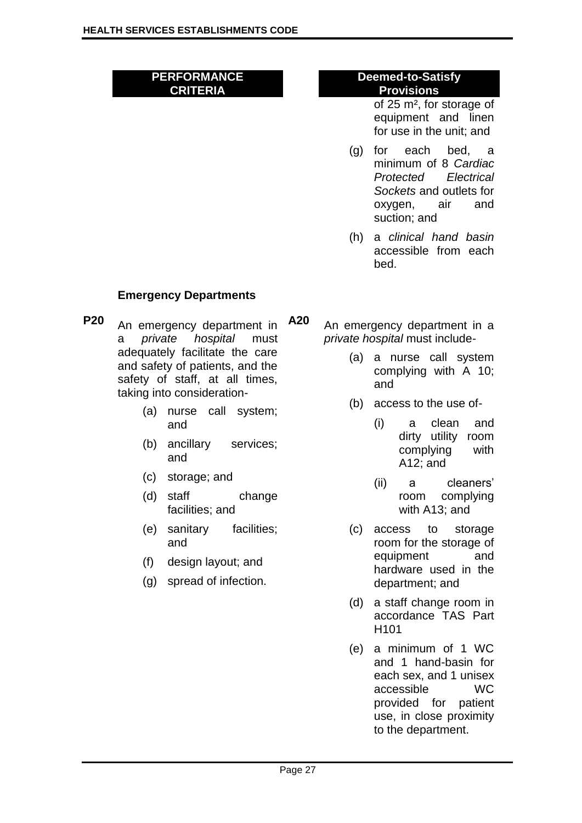#### **Deemed-to-Satisfy Provisions**

of 25 m², for storage of equipment and linen for use in the unit; and

- (g) for each bed, a minimum of 8 *Cardiac Protected Sockets* and outlets for oxygen, air and suction; and
- (h) a *clinical hand basin* accessible from each bed.

# **Emergency Departments**

- **P20** An emergency department in a *private hospital* must adequately facilitate the care and safety of patients, and the safety of staff, at all times, taking into consideration-
	- (a) nurse call system; and
	- (b) ancillary services; and
	- (c) storage; and
	- (d) staff change facilities; and
	- (e) sanitary facilities; and
	- (f) design layout; and
	- (g) spread of infection.
- **A20** An emergency department in a *private hospital* must include-
	- (a) a nurse call system complying with A 10; and
	- (b) access to the use of-
		- (i) a clean and dirty utility room complying with A12; and
		- (ii) a cleaners' room complying with A13; and
	- (c) access to storage room for the storage of equipment and hardware used in the department; and
	- (d) a staff change room in accordance TAS Part H101
	- (e) a minimum of 1 WC and 1 hand-basin for each sex, and 1 unisex accessible WC provided for patient use, in close proximity to the department.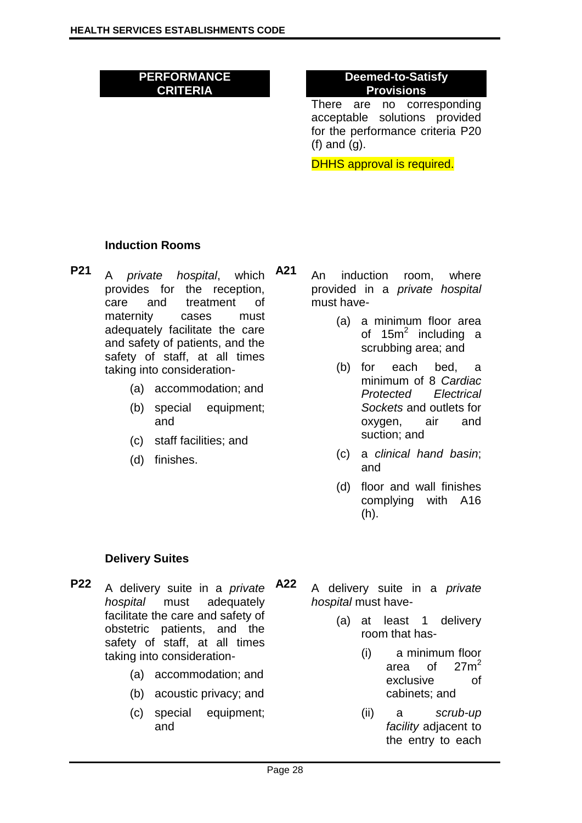#### **Deemed-to-Satisfy Provisions**

There are no corresponding acceptable solutions provided for the performance criteria P20 (f) and (g).

DHHS approval is required.

#### **Induction Rooms**

- **P21** A *private hospital*, which provides for the reception, care and treatment of maternity cases must adequately facilitate the care and safety of patients, and the safety of staff, at all times taking into consideration-
	- (a) accommodation; and
	- (b) special equipment; and
	- (c) staff facilities; and
	- (d) finishes.
- **A21** An induction room, where provided in a *private hospital* must have-
	- (a) a minimum floor area of  $15m^2$  including a scrubbing area; and
	- (b) for each bed, a minimum of 8 *Cardiac Protected Electrical Sockets* and outlets for oxygen, air and suction; and
	- (c) a *clinical hand basin*; and
	- (d) floor and wall finishes complying with A16 (h).

#### **Delivery Suites**

- **P22** A delivery suite in a *private hospital* must adequately facilitate the care and safety of obstetric patients, and the safety of staff, at all times taking into consideration-
	- (a) accommodation; and
	- (b) acoustic privacy; and
	- (c) special equipment; and
- **A22** A delivery suite in a *private hospital* must have-
	- (a) at least 1 delivery room that has-
		- (i) a minimum floor area of  $27m^2$ exclusive of cabinets; and
		- (ii) a *scrub-up facility* adjacent to the entry to each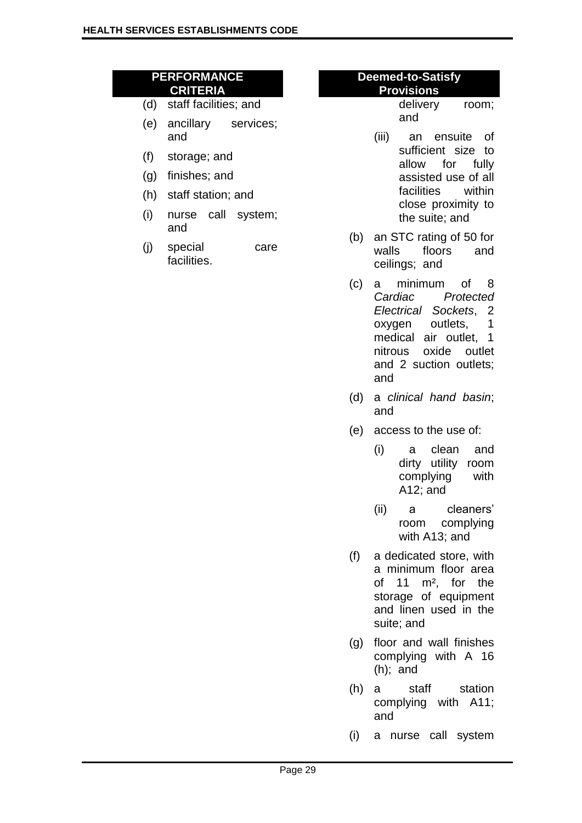- (d) staff facilities; and
- (e) ancillary services; and
- (f) storage; and
- (g) finishes; and
- (h) staff station; and
- (i) nurse call system; and
- (j) special care facilities.

- delivery room; and
- (iii) an ensuite of sufficient size to allow for fully assisted use of all facilities within close proximity to the suite; and
- (b) an STC rating of 50 for walls floors and ceilings; and
- (c) a minimum of 8 *Cardiac Protected Electrical Sockets*, 2 oxygen outlets, 1 medical air outlet, 1 nitrous oxide outlet and 2 suction outlets; and
- (d) a *clinical hand basin*; and
- (e) access to the use of:
	- (i) a clean and dirty utility room complying with A12; and
	- (ii) a cleaners' room complying with A13; and
- (f) a dedicated store, with a minimum floor area of 11 m², for the storage of equipment and linen used in the suite; and
- (g) floor and wall finishes complying with A 16 (h); and
- (h) a staff station complying with A11; and
- (i) a nurse call system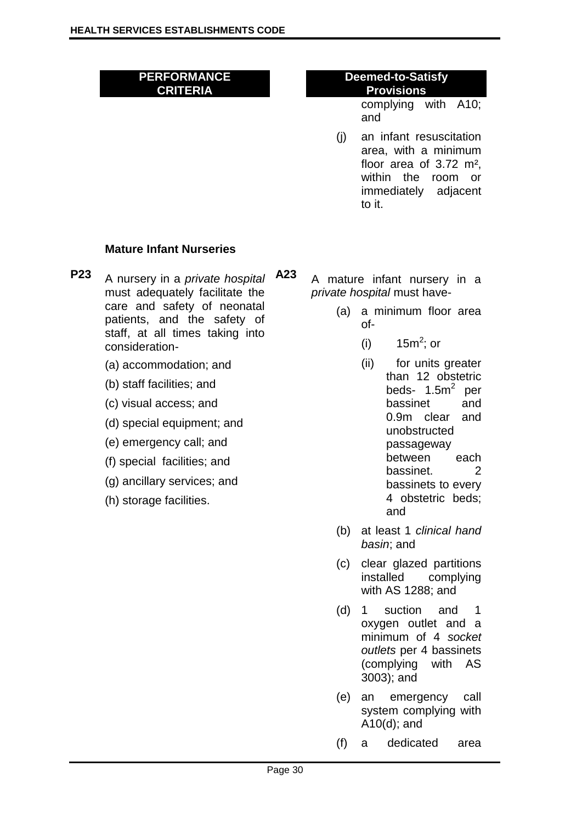#### **Deemed-to-Satisfy Provisions**

complying with A10; and

(j) an infant resuscitation area, with a minimum floor area of 3.72 m², within the room or immediately adjacent to it.

#### **Mature Infant Nurseries**

- **P23** A nursery in a *private hospital* must adequately facilitate the care and safety of neonatal patients, and the safety of staff, at all times taking into consideration-
	- (a) accommodation; and
	- (b) staff facilities; and
	- (c) visual access; and
	- (d) special equipment; and
	- (e) emergency call; and
	- (f) special facilities; and
	- (g) ancillary services; and
	- (h) storage facilities.
- **A23** A mature infant nursery in a *private hospital* must have-
	- (a) a minimum floor area of-
		- (i)  $15m^2$ ; or
		- (ii) for units greater than 12 obstetric beds-  $1.5m^2$  per bassinet and 0.9m clear and unobstructed passageway between each bassinet. 2 bassinets to every 4 obstetric beds; and
	- (b) at least 1 *clinical hand basin*; and
	- (c) clear glazed partitions installed complying with AS 1288; and
	- (d) 1 suction and 1 oxygen outlet and a minimum of 4 *socket outlets* per 4 bassinets (complying with AS 3003); and
	- (e) an emergency call system complying with A10(d); and
	- (f) a dedicated area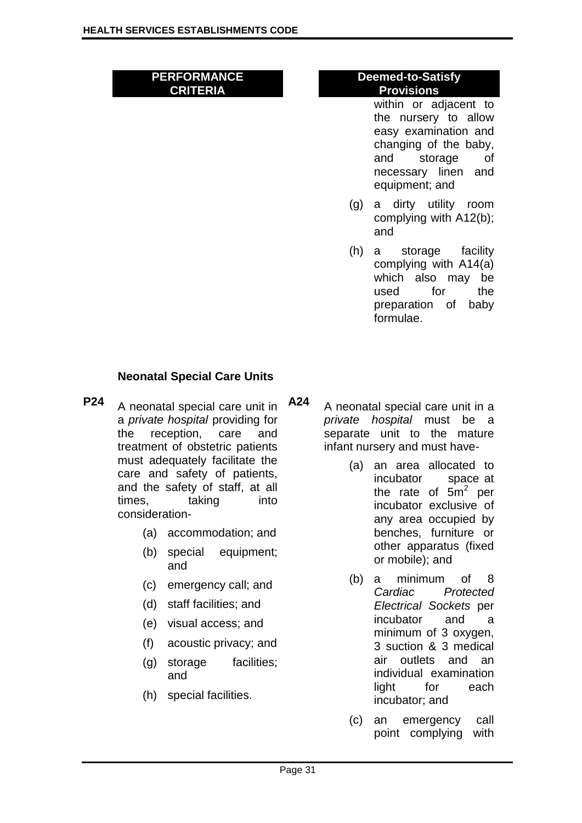#### **Deemed-to-Satisfy Provisions**

- within or adjacent to the nursery to allow easy examination and changing of the baby, and storage of necessary linen and equipment; and
- (g) a dirty utility room complying with A12(b); and
- (h) a storage facility complying with A14(a) which also may be used for the preparation of baby formulae.

# **Neonatal Special Care Units**

- **P24** A neonatal special care unit in a *private hospital* providing for the reception, care and treatment of obstetric patients must adequately facilitate the care and safety of patients, and the safety of staff, at all times, taking into consideration-
	- (a) accommodation; and
	- (b) special equipment; and
	- (c) emergency call; and
	- (d) staff facilities; and
	- (e) visual access; and
	- (f) acoustic privacy; and
	- (g) storage facilities; and
	- (h) special facilities.
- **A24** A neonatal special care unit in a *private hospital* must be a separate unit to the mature infant nursery and must have-
	- (a) an area allocated to incubator space at the rate of  $5m^2$  per incubator exclusive of any area occupied by benches, furniture or other apparatus (fixed or mobile); and
	- (b) a minimum of 8 *Cardiac Protected Electrical Sockets* per incubator and a minimum of 3 oxygen, 3 suction & 3 medical air outlets and an individual examination light for each incubator; and
	- (c) an emergency call point complying with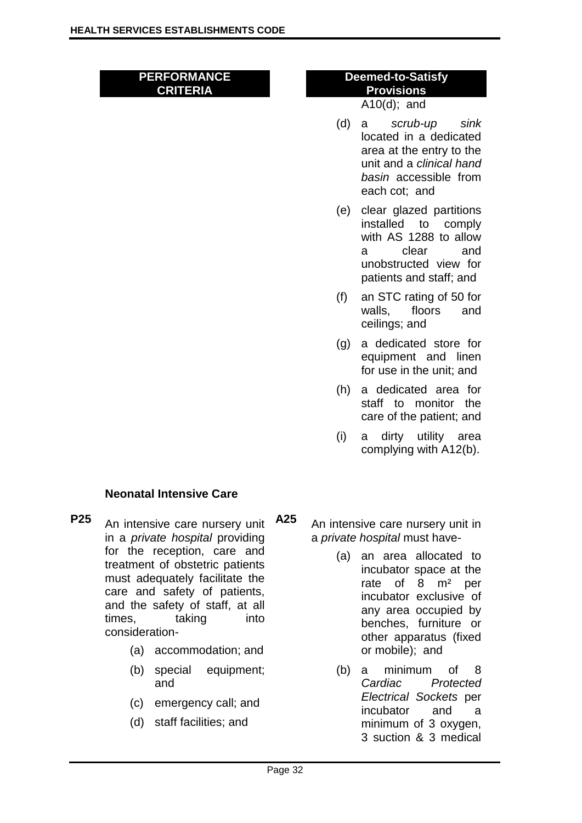#### **Deemed-to-Satisfy Provisions**

A10(d); and

- (d) a *scrub-up sink* located in a dedicated area at the entry to the unit and a *clinical hand basin* accessible from each cot; and
- (e) clear glazed partitions installed to comply with AS 1288 to allow a clear and unobstructed view for patients and staff; and
- (f) an STC rating of 50 for walls, floors and ceilings; and
- (g) a dedicated store for equipment and linen for use in the unit; and
- (h) a dedicated area for staff to monitor the care of the patient; and
- (i) a dirty utility area complying with A12(b).

#### **Neonatal Intensive Care**

- **P25** An intensive care nursery unit in a *private hospital* providing for the reception, care and treatment of obstetric patients must adequately facilitate the care and safety of patients, and the safety of staff, at all times, taking into consideration-
	- (a) accommodation; and
	- (b) special equipment; and
	- (c) emergency call; and
	- (d) staff facilities; and
- **A25** An intensive care nursery unit in a *private hospital* must have-
	- (a) an area allocated to incubator space at the rate of 8 m² per incubator exclusive of any area occupied by benches, furniture or other apparatus (fixed or mobile); and
	- (b) a minimum of 8 *Cardiac Protected Electrical Sockets* per incubator and a minimum of 3 oxygen, 3 suction & 3 medical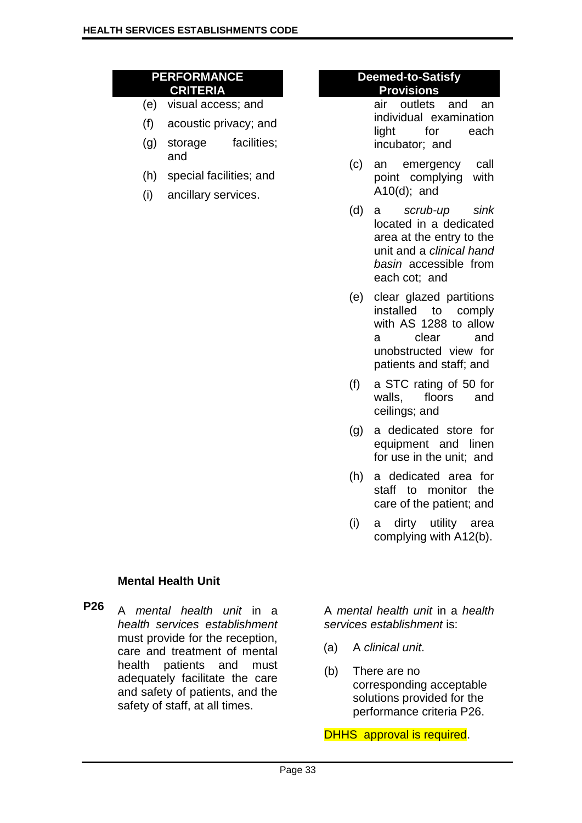- (e) visual access; and
- (f) acoustic privacy; and
- (g) storage facilities; and
- (h) special facilities; and
- (i) ancillary services.

#### **Deemed-to-Satisfy Provisions**

- air outlets and an individual examination light for each incubator; and
- (c) an emergency call point complying with A10(d); and
- (d) a *scrub-up sink* located in a dedicated area at the entry to the unit and a *clinical hand basin* accessible from each cot; and
- (e) clear glazed partitions installed to comply with AS 1288 to allow a clear and unobstructed view for patients and staff; and
- (f) a STC rating of 50 for walls, floors and ceilings; and
- (g) a dedicated store for equipment and linen for use in the unit; and
- (h) a dedicated area for staff to monitor the care of the patient; and
- (i) a dirty utility area complying with A12(b).

# **Mental Health Unit**

**P26** A *mental health unit* in a *health services establishment* must provide for the reception, care and treatment of mental health patients and must adequately facilitate the care and safety of patients, and the safety of staff, at all times.

A *mental health unit* in a *health services establishment* is:

- (a) A *clinical unit*.
- (b) There are no corresponding acceptable solutions provided for the performance criteria P26.

DHHS approval is required.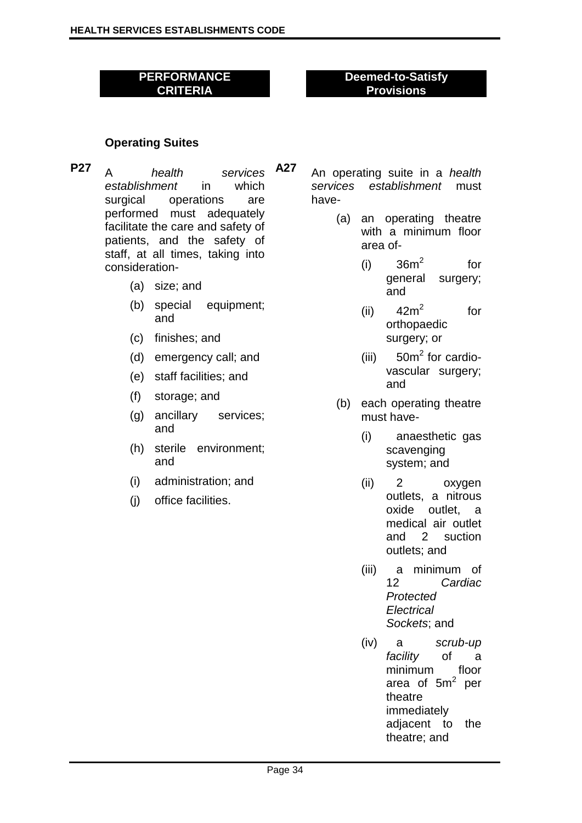#### **Deemed-to-Satisfy Provisions**

#### **Operating Suites**

- **P27** A *health services establishment* in which surgical operations are performed must adequately facilitate the care and safety of patients, and the safety of staff, at all times, taking into consideration-
	- (a) size; and
	- (b) special equipment; and
	- (c) finishes; and
	- (d) emergency call; and
	- (e) staff facilities; and
	- (f) storage; and
	- (g) ancillary services; and
	- (h) sterile environment; and
	- (i) administration; and
	- (j) office facilities.
- **A27** An operating suite in a *health services establishment* must have-
	- (a) an operating theatre with a minimum floor area of-
		- (i)  $36m^2$ for general surgery; and
		- (ii)  $42m^2$ for orthopaedic surgery; or
		- $(iii)$  50 $m^2$  for cardiovascular surgery; and
	- (b) each operating theatre must have-
		- (i) anaesthetic gas scavenging system; and
		- (ii) 2 oxygen outlets, a nitrous oxide outlet, a medical air outlet and 2 suction outlets; and
		- (iii) a minimum of 12 *Cardiac Protected Electrical Sockets*; and
		- (iv) a *scrub-up facility* of a minimum floor area of 5m<sup>2</sup> per theatre immediately adjacent to the theatre; and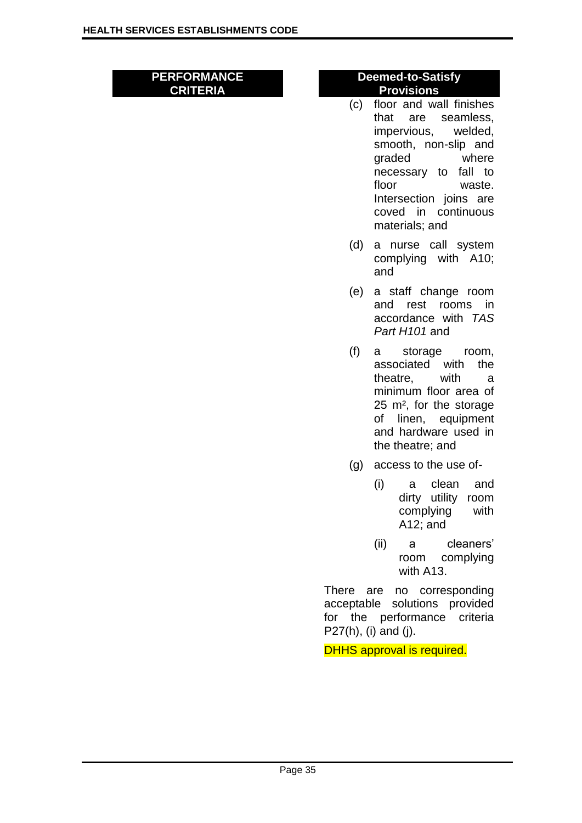#### **Deemed-to-Satisfy Provisions**

- (c) floor and wall finishes that are seamless, impervious, welded, smooth, non-slip and graded where necessary to fall to floor waste. Intersection joins are coved in continuous materials; and
- (d) a nurse call system complying with A10; and
- (e) a staff change room and rest rooms in accordance with *TAS Part H101* and
- (f) a storage room, associated with the theatre, with a minimum floor area of 25 m², for the storage of linen, equipment and hardware used in the theatre; and
- (g) access to the use of-
	- (i) a clean and dirty utility room complying with A12; and
	- (ii) a cleaners' room complying with A13.

There are no corresponding acceptable solutions provided for the performance criteria P27(h), (i) and (j).

DHHS approval is required.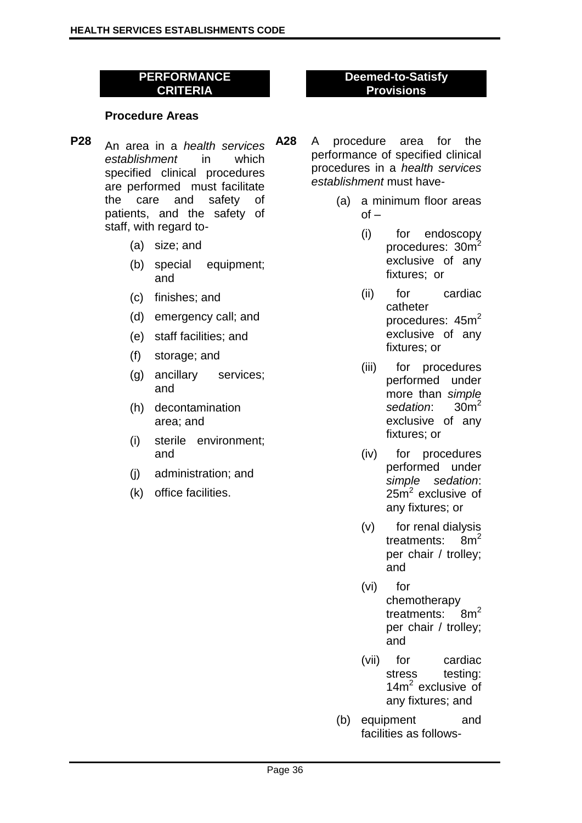#### **Procedure Areas**

- **P28** An area in a *health services establishment* in which specified clinical procedures are performed must facilitate the care and safety of patients, and the safety of staff, with regard to-
	- (a) size; and
	- (b) special equipment; and
	- (c) finishes; and
	- (d) emergency call; and
	- (e) staff facilities; and
	- (f) storage; and
	- (g) ancillary services; and
	- (h) decontamination area; and
	- (i) sterile environment; and
	- (j) administration; and
	- (k) office facilities.

- **A28** A procedure area for the performance of specified clinical procedures in a *health services establishment* must have-
	- (a) a minimum floor areas  $of -$ 
		- (i) for endoscopy procedures:  $30m^2$ exclusive of any fixtures; or
		- (ii) for cardiac catheter procedures:  $45m<sup>2</sup>$ exclusive of any fixtures; or
		- (iii) for procedures performed under more than *simple sedation*: 30m<sup>2</sup> exclusive of any fixtures; or
		- (iv) for procedures performed under *simple sedation*:  $25m^2$  exclusive of any fixtures; or
		- (v) for renal dialysis treatments:  $8m^2$ per chair / trolley; and
		- (vi) for chemotherapy<br>treatments: 8m<sup>2</sup> treatments: per chair / trolley; and
		- (vii) for cardiac stress testing: 14m<sup>2</sup> exclusive of any fixtures; and
	- (b) equipment and facilities as follows-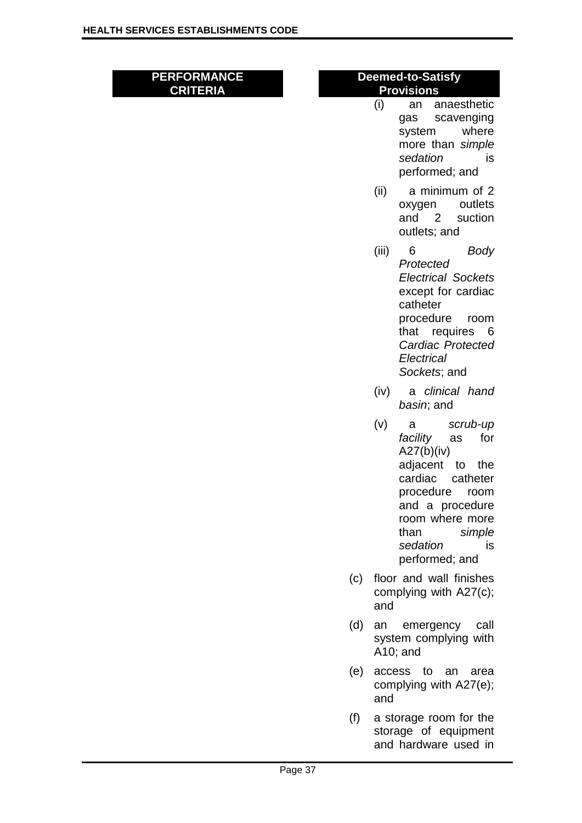- (i) an anaesthetic gas scavenging system where more than *simple sedation* is performed; and
- (ii) a minimum of 2 oxygen outlets and 2 suction outlets; and
- (iii) 6 *Body Protected Electrical Sockets* except for cardiac catheter procedure room that requires 6 *Cardiac Protected Electrical Sockets*; and
- (iv) a *clinical hand basin*; and
- (v) a *scrub-up facility* as for A27(b)(iv) adjacent to the cardiac catheter procedure room and a procedure room where more than *simple sedation* is performed; and
- (c) floor and wall finishes complying with A27(c); and
- (d) an emergency call system complying with A10; and
- (e) access to an area complying with A27(e); and
- (f) a storage room for the storage of equipment and hardware used in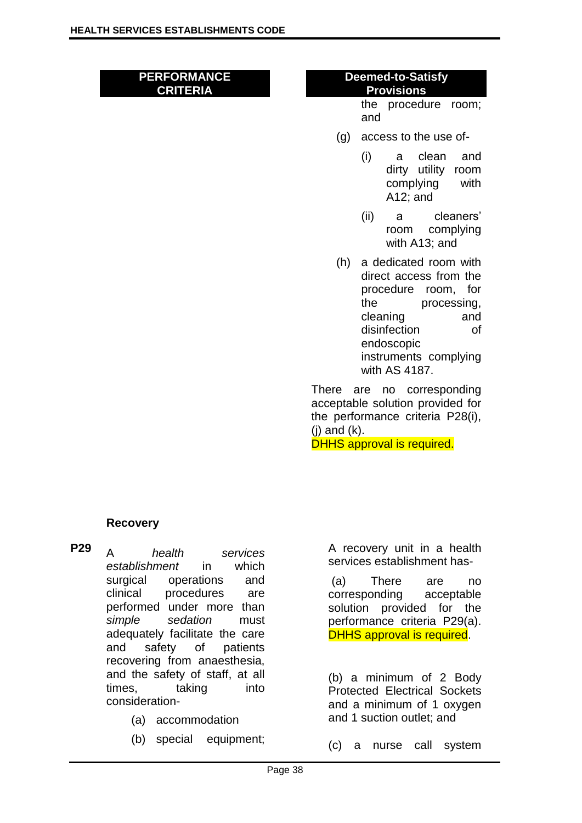#### **Deemed-to-Satisfy Provisions**

the procedure room; and

- (g) access to the use of-
	- (i) a clean and dirty utility room complying with A12; and
	- (ii) a cleaners' room complying with A13; and
- (h) a dedicated room with direct access from the procedure room, for the processing, cleaning and disinfection of endoscopic instruments complying with AS 4187.

There are no corresponding acceptable solution provided for the performance criteria P28(i), (j) and (k). DHHS approval is required.

# **Recovery**

- **P29** A *health services establishment* in which surgical operations and clinical procedures are performed under more than *simple sedation* must adequately facilitate the care and safety of patients recovering from anaesthesia, and the safety of staff, at all times, taking into consideration-
	- (a) accommodation
	- (b) special equipment;

A recovery unit in a health services establishment has-

(a) There are no corresponding acceptable solution provided for the performance criteria P29(a). DHHS approval is required.

(b) a minimum of 2 Body Protected Electrical Sockets and a minimum of 1 oxygen and 1 suction outlet; and

(c) a nurse call system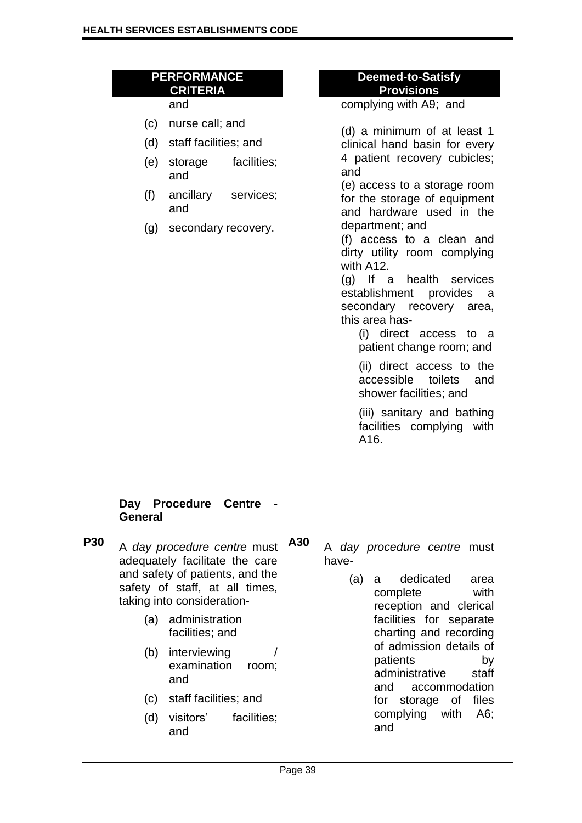and

- (c) nurse call; and
- (d) staff facilities; and
- (e) storage facilities; and
- (f) ancillary services; and
- (g) secondary recovery.

#### **Deemed-to-Satisfy Provisions**

complying with A9; and

(d) a minimum of at least 1 clinical hand basin for every 4 patient recovery cubicles; and

(e) access to a storage room for the storage of equipment and hardware used in the department; and

(f) access to a clean and dirty utility room complying with A<sub>12</sub>

(g) If a health services establishment provides a secondary recovery area, this area has-

(i) direct access to a patient change room; and

(ii) direct access to the accessible toilets and shower facilities; and

(iii) sanitary and bathing facilities complying with A16.

#### **Day Procedure Centre - General**

**P30** A *day procedure centre* must adequately facilitate the care and safety of patients, and the safety of staff, at all times, taking into consideration-

- (a) administration facilities; and
- (b) interviewing examination room; and
- (c) staff facilities; and
- (d) visitors' facilities; and

**A30** A *day procedure centre* must have-

> (a) a dedicated area complete with reception and clerical facilities for separate charting and recording of admission details of patients by administrative staff and accommodation for storage of files complying with A6; and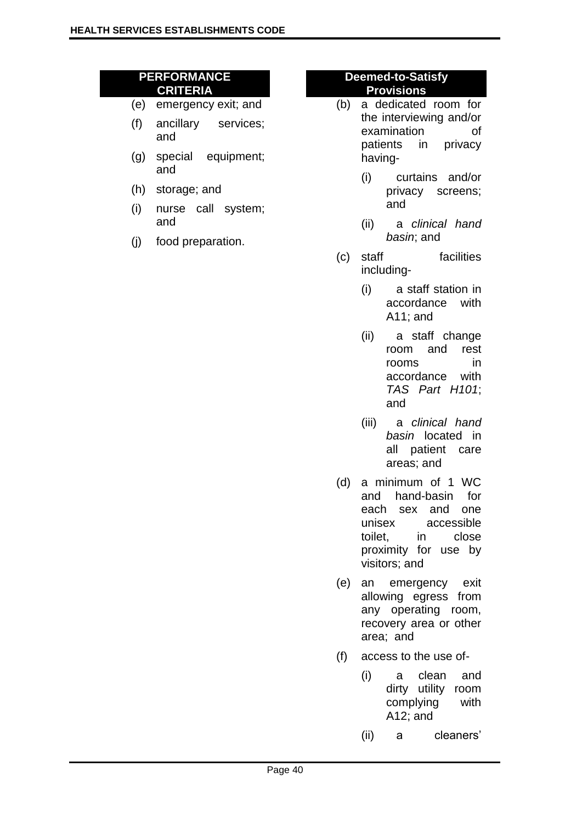- (e) emergency exit; and
- (f) ancillary services; and
- (g) special equipment; and
- (h) storage; and
- (i) nurse call system; and
- (j) food preparation.

- (b) a dedicated room for the interviewing and/or examination of patients in privacy having-
	- (i) curtains and/or privacy screens; and
	- (ii) a *clinical hand basin*; and
- (c) staff facilities including-
	- (i) a staff station in accordance with A11; and
	- (ii) a staff change room and rest rooms in accordance with *TAS Part H101*; and
	- (iii) a *clinical hand basin* located in all patient care areas; and
- (d) a minimum of 1 WC and hand-basin for each sex and one unisex accessible toilet, in close proximity for use by visitors; and
- (e) an emergency exit allowing egress from any operating room, recovery area or other area; and
- (f) access to the use of-
	- (i) a clean and dirty utility room complying with A12; and
	- (ii) a cleaners'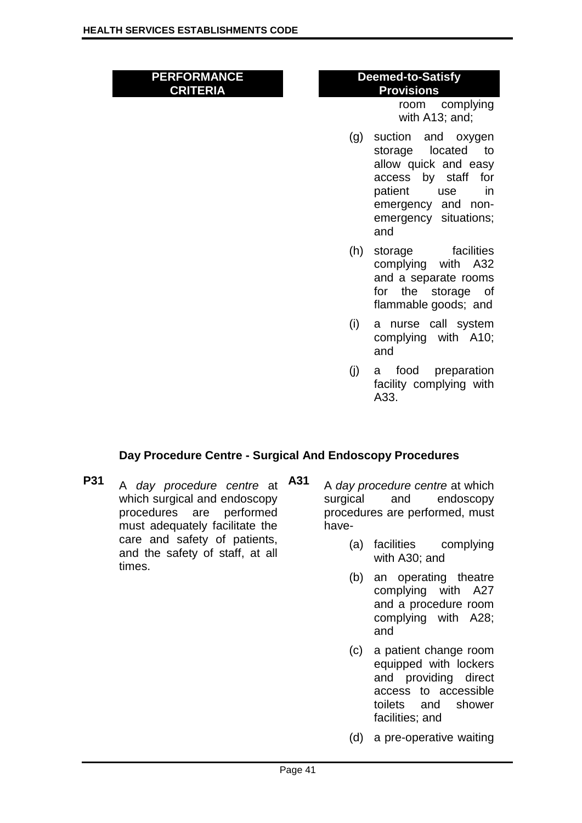#### **Deemed-to-Satisfy Provisions**

room complying with A13; and;

- (g) suction and oxygen storage located to allow quick and easy access by staff for patient use in emergency and nonemergency situations; and
- (h) storage facilities complying with A32 and a separate rooms for the storage of flammable goods; and
- (i) a nurse call system complying with A10; and
- (j) a food preparation facility complying with A33.

# **Day Procedure Centre - Surgical And Endoscopy Procedures**

**P31** A *day procedure centre* at which surgical and endoscopy procedures are performed must adequately facilitate the care and safety of patients, and the safety of staff, at all times.

**A31** A *day procedure centre* at which surgical and endoscopy procedures are performed, must

have-

- (a) facilities complying with A30; and
- (b) an operating theatre complying with A27 and a procedure room complying with A28; and
- (c) a patient change room equipped with lockers and providing direct access to accessible toilets and shower facilities; and
- (d) a pre-operative waiting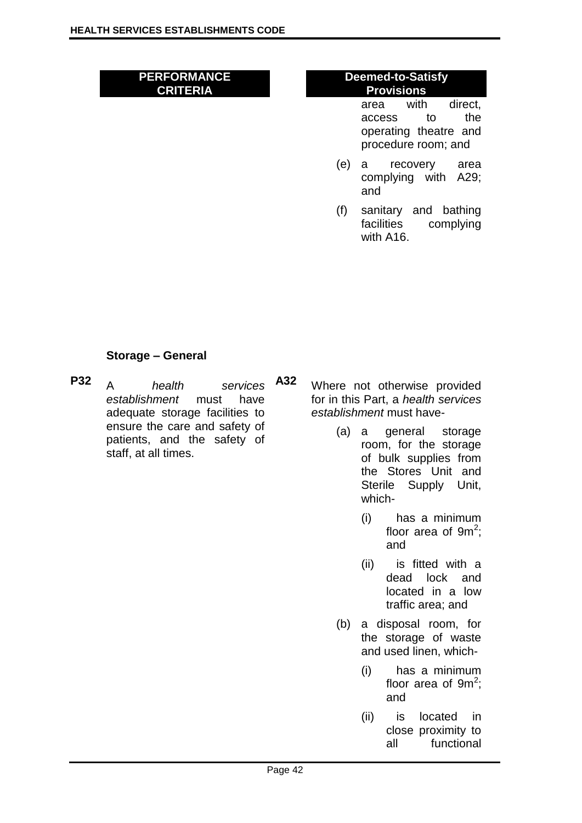# **Deemed-to-Satisfy Provisions**

area with direct, access to the operating theatre and procedure room; and

- (e) a recovery area complying with A29; and
- (f) sanitary and bathing facilities complying with A16.

#### **Storage – General**

**P32** A *health services establishment* must have adequate storage facilities to ensure the care and safety of patients, and the safety of staff, at all times.

**A32** Where not otherwise provided for in this Part, a *health services establishment* must have-

- (a) a general storage room, for the storage of bulk supplies from the Stores Unit and Sterile Supply Unit, which-
	- (i) has a minimum floor area of  $9m^2$ ; and
	- (ii) is fitted with a dead lock and located in a low traffic area; and
- (b) a disposal room, for the storage of waste and used linen, which-
	- (i) has a minimum floor area of  $9m^2$ ; and
	- (ii) is located in close proximity to all functional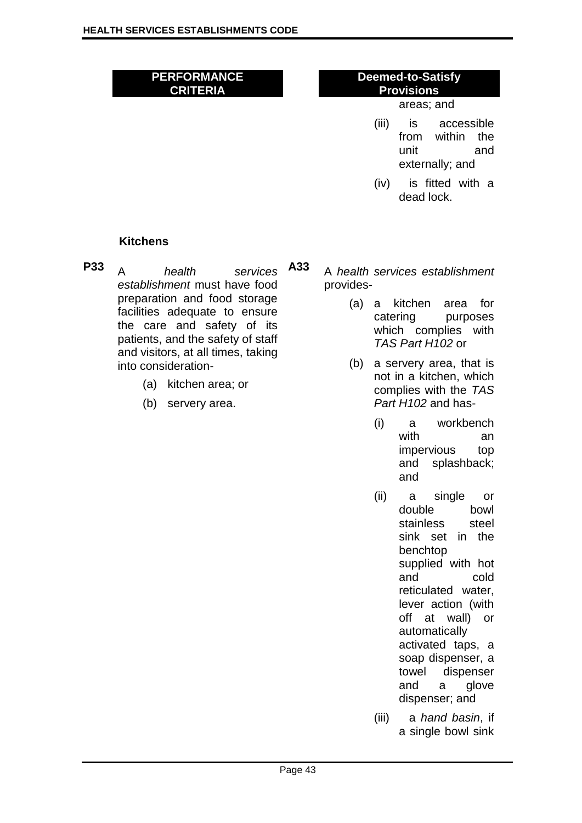#### **Deemed-to-Satisfy Provisions**

areas; and

- (iii) is accessible from within the unit and externally; and
- (iv) is fitted with a dead lock.

#### **Kitchens**

- **P33** A *health services establishment* must have food preparation and food storage facilities adequate to ensure the care and safety of its patients, and the safety of staff and visitors, at all times, taking into consideration-
	- (a) kitchen area; or
	- (b) servery area.
- **A33** A *health services establishment* provides-
	- (a) a kitchen area for catering purposes which complies with *TAS Part H102* or
	- (b) a servery area, that is not in a kitchen, which complies with the *TAS Part H102* and has-
		- (i) a workbench with an impervious top and splashback; and
		- (ii) a single or double bowl stainless steel sink set in the benchtop supplied with hot and cold reticulated water, lever action (with off at wall) or automatically activated taps, a soap dispenser, a towel dispenser and a glove dispenser; and
		- (iii) a *hand basin*, if a single bowl sink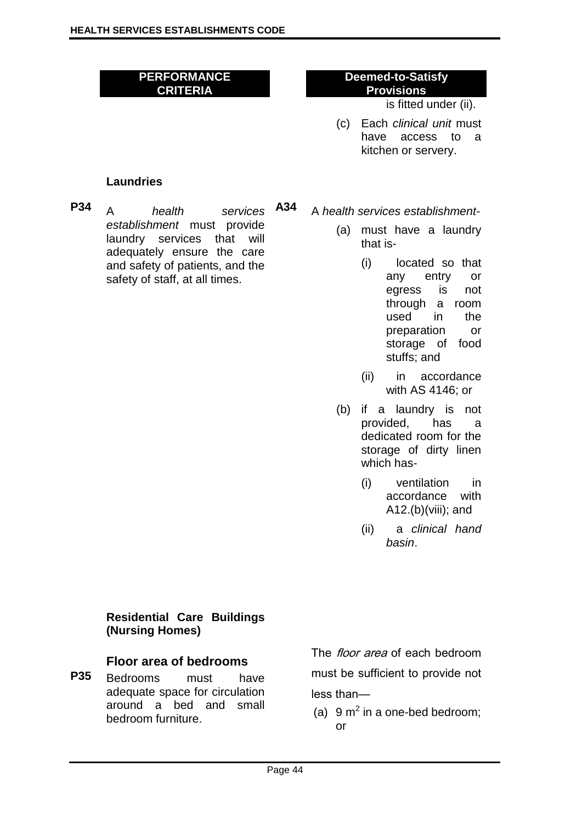#### **Deemed-to-Satisfy Provisions**

is fitted under (ii).

(c) Each *clinical unit* must have access to a kitchen or servery.

#### **Laundries**

- **P34** A *health services establishment* must provide laundry services that will adequately ensure the care and safety of patients, and the safety of staff, at all times.
	- **A34** A *health services establishment*
		- (a) must have a laundry that is-
			- (i) located so that any entry or egress is not through a room used in the preparation or storage of food stuffs; and
			- (ii) in accordance with AS 4146; or
		- (b) if a laundry is not provided, has a dedicated room for the storage of dirty linen which has-
			- (i) ventilation in accordance with  $A12.(b)(viii);$  and
			- (ii) a *clinical hand basin*.

#### **Residential Care Buildings (Nursing Homes)**

#### **Floor area of bedrooms**

**P35** Bedrooms must have adequate space for circulation around a bed and small bedroom furniture.

The *floor area* of each bedroom must be sufficient to provide not less than—

(a)  $9 \text{ m}^2$  in a one-bed bedroom; or